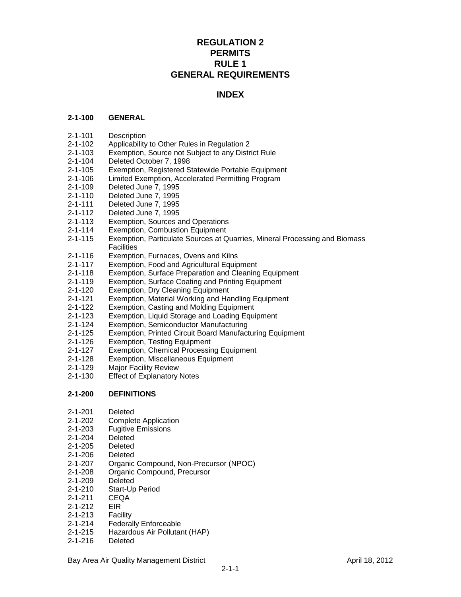# **REGULATION 2 PERMITS RULE 1 GENERAL REQUIREMENTS**

## **INDEX**

## **2-1-100 GENERAL**

- 2-1-101 Description
- 2-1-102 Applicability to Other Rules in Regulation 2
- 2-1-103 Exemption, Source not Subject to any District Rule
- 2-1-104 Deleted October 7, 1998
- 2-1-105 Exemption, Registered Statewide Portable Equipment
- 2-1-106 Limited Exemption, Accelerated Permitting Program
- 2-1-109 Deleted June 7, 1995
- 2-1-110 Deleted June 7, 1995
- 2-1-111 Deleted June 7, 1995
- 2-1-112 Deleted June 7, 1995
- 2-1-113 Exemption, Sources and Operations
- 2-1-114 Exemption, Combustion Equipment
- 2-1-115 Exemption, Particulate Sources at Quarries, Mineral Processing and Biomass **Facilities**
- 2-1-116 Exemption, Furnaces, Ovens and Kilns
- 2-1-117 Exemption, Food and Agricultural Equipment
- 2-1-118 Exemption, Surface Preparation and Cleaning Equipment<br>2-1-119 Exemption, Surface Coating and Printing Equipment
- Exemption, Surface Coating and Printing Equipment
- 2-1-120 Exemption, Dry Cleaning Equipment
- 2-1-121 Exemption, Material Working and Handling Equipment
- 2-1-122 Exemption, Casting and Molding Equipment
- 2-1-123 Exemption, Liquid Storage and Loading Equipment
- 2-1-124 Exemption, Semiconductor Manufacturing
- 2-1-125 Exemption, Printed Circuit Board Manufacturing Equipment
- 2-1-126 Exemption, Testing Equipment
- 2-1-127 Exemption, Chemical Processing Equipment
- 2-1-128 Exemption, Miscellaneous Equipment
- 2-1-129 Major Facility Review
- 2-1-130 Effect of Explanatory Notes

## **2-1-200 DEFINITIONS**

- 2-1-201 Deleted
- 2-1-202 Complete Application
- 2-1-203 Fugitive Emissions
- 2-1-204 Deleted
- 2-1-205 Deleted
- 2-1-206 Deleted
- 2-1-207 Organic Compound, Non-Precursor (NPOC)
- 2-1-208 Organic Compound, Precursor
- 2-1-209 Deleted
- 2-1-210 Start-Up Period
- 2-1-211 CEQA
- 2-1-212 EIR
- 2-1-213 Facility
- 2-1-214 Federally Enforceable
- 2-1-215 Hazardous Air Pollutant (HAP)
- 2-1-216 Deleted

Bay Area Air Quality Management District April 18, 2012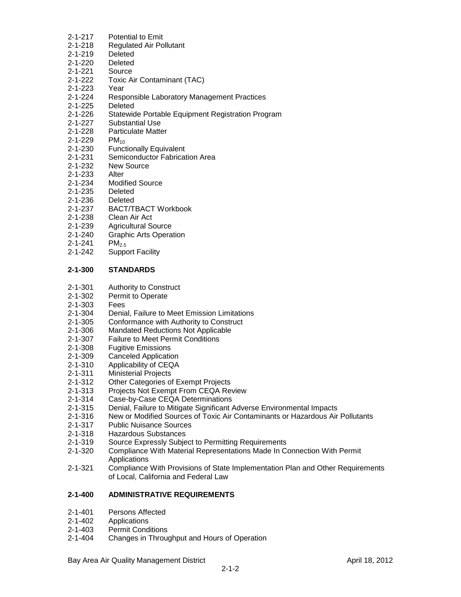- 2-1-217 Potential to Emit
- 2-1-218 Regulated Air Pollutant
- 2-1-219 Deleted
- 2-1-220 Deleted
- 2-1-221 Source
- 2-1-222 Toxic Air Contaminant (TAC)
- 2-1-223 Year
- 2-1-224 Responsible Laboratory Management Practices
- 2-1-225 Deleted
- 2-1-226 Statewide Portable Equipment Registration Program
- 2-1-227 Substantial Use
- 2-1-228 Particulate Matter<br>2-1-229 PM<sub>10</sub>
- 2-1-229<br>2-1-230
- **Functionally Equivalent**
- 2-1-231 Semiconductor Fabrication Area
- 2-1-232 New Source
- 2-1-233 Alter
- 2-1-234 Modified Source
- 2-1-235 Deleted
- 2-1-236 Deleted
- 2-1-237 BACT/TBACT Workbook
- 2-1-238 Clean Air Act
- 2-1-239 Agricultural Source
- 2-1-240 Graphic Arts Operation
- $2 1 241$  PM<sub>2.5</sub>
- 2-1-242 Support Facility

## **2-1-300 STANDARDS**

- 2-1-301 Authority to Construct
- 2-1-302 Permit to Operate
- 2-1-303 Fees
- 2-1-304 Denial, Failure to Meet Emission Limitations
- 2-1-305 Conformance with Authority to Construct
- 2-1-306 Mandated Reductions Not Applicable
- 2-1-307 Failure to Meet Permit Conditions
- 2-1-308 Fugitive Emissions
- 2-1-309 Canceled Application
- 2-1-310 Applicability of CEQA<br>2-1-311 Ministerial Projects
- **Ministerial Projects**
- 2-1-312 Other Categories of Exempt Projects
- 2-1-313 Projects Not Exempt From CEQA Review
- 2-1-314 Case-by-Case CEQA Determinations
- 2-1-315 Denial, Failure to Mitigate Significant Adverse Environmental Impacts
- 2-1-316 New or Modified Sources of Toxic Air Contaminants or Hazardous Air Pollutants
- 2-1-317 Public Nuisance Sources
- 2-1-318 Hazardous Substances
- 2-1-319 Source Expressly Subject to Permitting Requirements
- 2-1-320 Compliance With Material Representations Made In Connection With Permit Applications
- 2-1-321 Compliance With Provisions of State Implementation Plan and Other Requirements of Local, California and Federal Law

## **2-1-400 ADMINISTRATIVE REQUIREMENTS**

- 2-1-401 Persons Affected
- 2-1-402 Applications
- 2-1-403 Permit Conditions
- 2-1-404 Changes in Throughput and Hours of Operation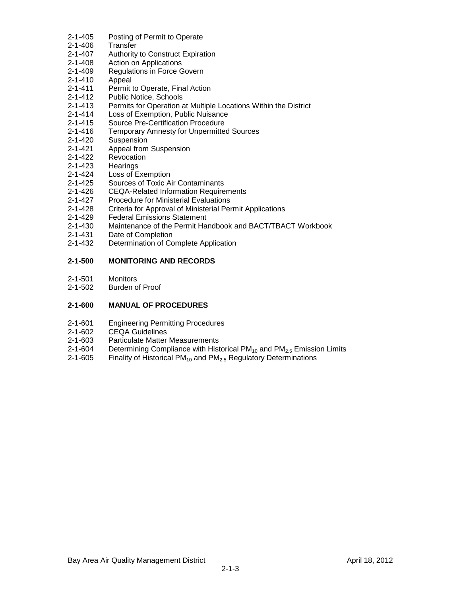- 2-1-405 Posting of Permit to Operate
- 2-1-406 Transfer
- 2-1-407 Authority to Construct Expiration
- 2-1-408 Action on Applications
- 2-1-409 Regulations in Force Govern
- 2-1-410 Appeal
- 2-1-411 Permit to Operate, Final Action
- 2-1-412 Public Notice, Schools
- 2-1-413 Permits for Operation at Multiple Locations Within the District
- 2-1-414 Loss of Exemption, Public Nuisance
- 2-1-415 Source Pre-Certification Procedure
- 2-1-416 Temporary Amnesty for Unpermitted Sources
- 2-1-420 Suspension
- 2-1-421 Appeal from Suspension
- 2-1-422 Revocation
- 2-1-423 Hearings
- 2-1-424 Loss of Exemption
- 2-1-425 Sources of Toxic Air Contaminants
- 2-1-426 CEQA-Related Information Requirements
- 2-1-427 Procedure for Ministerial Evaluations
- 2-1-428 Criteria for Approval of Ministerial Permit Applications<br>2-1-429 Federal Emissions Statement
- **Federal Emissions Statement**
- 2-1-430 Maintenance of the Permit Handbook and BACT/TBACT Workbook
- 2-1-431 Date of Completion
- 2-1-432 Determination of Complete Application

## **2-1-500 MONITORING AND RECORDS**

- 2-1-501 Monitors
- 2-1-502 Burden of Proof

## **2-1-600 MANUAL OF PROCEDURES**

- 2-1-601 Engineering Permitting Procedures
- 2-1-602 CEQA Guidelines
- 2-1-603 Particulate Matter Measurements
- 2-1-604 Determining Compliance with Historical PM<sub>10</sub> and PM<sub>2.5</sub> Emission Limits 2-1-605 Finality of Historical PM<sub>10</sub> and PM<sub>2.5</sub> Regulatory Determinations
- Finality of Historical PM<sub>10</sub> and PM<sub>2.5</sub> Regulatory Determinations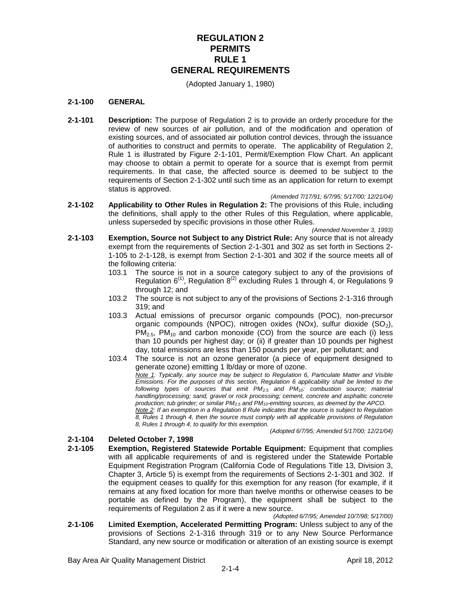# **REGULATION 2 PERMITS RULE 1 GENERAL REQUIREMENTS**

(Adopted January 1, 1980)

#### **2-1-100 GENERAL**

**2-1-101 Description:** The purpose of Regulation 2 is to provide an orderly procedure for the review of new sources of air pollution, and of the modification and operation of existing sources, and of associated air pollution control devices, through the issuance of authorities to construct and permits to operate. The applicability of Regulation 2, Rule 1 is illustrated by Figure 2-1-101, Permit/Exemption Flow Chart. An applicant may choose to obtain a permit to operate for a source that is exempt from permit requirements. In that case, the affected source is deemed to be subject to the requirements of Section 2-1-302 until such time as an application for return to exempt status is approved.

*(Amended 7/17/91; 6/7/95; 5/17/00; 12/21/04)*

**2-1-102 Applicability to Other Rules in Regulation 2:** The provisions of this Rule, including the definitions, shall apply to the other Rules of this Regulation, where applicable, unless superseded by specific provisions in those other Rules.

*(Amended November 3, 1993)*

- **2-1-103 Exemption, Source not Subject to any District Rule:** Any source that is not already exempt from the requirements of Section 2-1-301 and 302 as set forth in Sections 2- 1-105 to 2-1-128, is exempt from Section 2-1-301 and 302 if the source meets all of the following criteria:
	- 103.1 The source is not in a source category subject to any of the provisions of Regulation  $6^{(1)}$ , Regulation  $8^{(2)}$  excluding Rules 1 through 4, or Regulations 9 through 12; and
	- 103.2 The source is not subject to any of the provisions of Sections 2-1-316 through 319; and
	- 103.3 Actual emissions of precursor organic compounds (POC), non-precursor organic compounds (NPOC), nitrogen oxides (NOx), sulfur dioxide  $(SO<sub>2</sub>)$ ,  $PM<sub>2.5</sub>$ ,  $PM<sub>10</sub>$  and carbon monoxide (CO) from the source are each (i) less than 10 pounds per highest day; or (ii) if greater than 10 pounds per highest day, total emissions are less than 150 pounds per year, per pollutant; and
	- 103.4 The source is not an ozone generator (a piece of equipment designed to generate ozone) emitting 1 lb/day or more of ozone. *Note 1: Typically, any source may be subject to Regulation 6, Particulate Matter and Visible Emissions. For the purposes of this section, Regulation 6 applicability shall be limited to the following types of sources that emit PM2.5 and PM10: combustion source; material handling/processing; sand, gravel or rock processing; cement, concrete and asphaltic concrete production; tub grinder; or similar PM2.5 and PM10-emitting sources, as deemed by the APCO. Note 2: If an exemption in a Regulation 8 Rule indicates that the source is subject to Regulation 8, Rules 1 through 4, then the source must comply with all applicable provisions of Regulation 8, Rules 1 through 4, to qualify for this exemption.*

*(Adopted 6/7/95; Amended 5/17/00; 12/21/04)*

## **2-1-104 Deleted October 7, 1998**

**2-1-105 Exemption, Registered Statewide Portable Equipment:** Equipment that complies with all applicable requirements of and is registered under the Statewide Portable Equipment Registration Program (California Code of Regulations Title 13, Division 3, Chapter 3, Article 5) is exempt from the requirements of Sections 2-1-301 and 302. If the equipment ceases to qualify for this exemption for any reason (for example, if it remains at any fixed location for more than twelve months or otherwise ceases to be portable as defined by the Program), the equipment shall be subject to the requirements of Regulation 2 as if it were a new source.

*(Adopted 6/7/95; Amended 10/7/98; 5/17/00)* **2-1-106 Limited Exemption, Accelerated Permitting Program:** Unless subject to any of the provisions of Sections 2-1-316 through 319 or to any New Source Performance Standard, any new source or modification or alteration of an existing source is exempt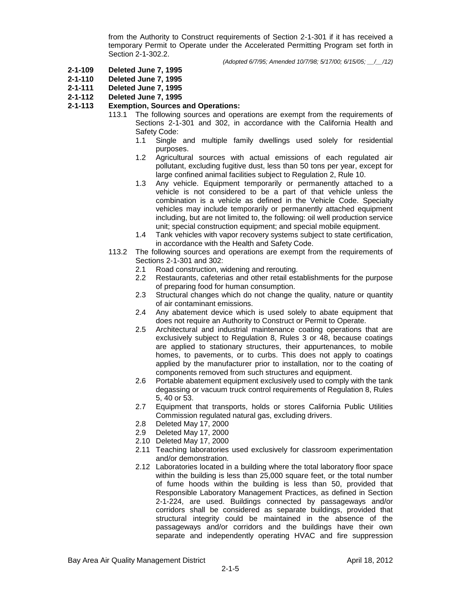from the Authority to Construct requirements of Section 2-1-301 if it has received a temporary Permit to Operate under the Accelerated Permitting Program set forth in Section 2-1-302.2.

*(Adopted 6/7/95; Amended 10/7/98; 5/17/00; 6/15/05; \_\_/\_\_/12)*

- **2-1-109 Deleted June 7, 1995**
- **2-1-110 Deleted June 7, 1995**
- **2-1-111 Deleted June 7, 1995**
- **2-1-112 Deleted June 7, 1995**

### **2-1-113 Exemption, Sources and Operations:**

- 113.1 The following sources and operations are exempt from the requirements of Sections 2-1-301 and 302, in accordance with the California Health and Safety Code:
	- 1.1 Single and multiple family dwellings used solely for residential purposes.
	- 1.2 Agricultural sources with actual emissions of each regulated air pollutant, excluding fugitive dust, less than 50 tons per year, except for large confined animal facilities subject to Regulation 2, Rule 10.
	- 1.3 Any vehicle. Equipment temporarily or permanently attached to a vehicle is not considered to be a part of that vehicle unless the combination is a vehicle as defined in the Vehicle Code. Specialty vehicles may include temporarily or permanently attached equipment including, but are not limited to, the following: oil well production service unit; special construction equipment; and special mobile equipment.
	- 1.4 Tank vehicles with vapor recovery systems subject to state certification, in accordance with the Health and Safety Code.
- 113.2 The following sources and operations are exempt from the requirements of Sections 2-1-301 and 302:
	- 2.1 Road construction, widening and rerouting.
	- 2.2 Restaurants, cafeterias and other retail establishments for the purpose of preparing food for human consumption.
	- 2.3 Structural changes which do not change the quality, nature or quantity of air contaminant emissions.
	- 2.4 Any abatement device which is used solely to abate equipment that does not require an Authority to Construct or Permit to Operate.
	- 2.5 Architectural and industrial maintenance coating operations that are exclusively subject to Regulation 8, Rules 3 or 48, because coatings are applied to stationary structures, their appurtenances, to mobile homes, to pavements, or to curbs. This does not apply to coatings applied by the manufacturer prior to installation, nor to the coating of components removed from such structures and equipment.
	- 2.6 Portable abatement equipment exclusively used to comply with the tank degassing or vacuum truck control requirements of Regulation 8, Rules 5, 40 or 53.
	- 2.7 Equipment that transports, holds or stores California Public Utilities Commission regulated natural gas, excluding drivers.
	- 2.8 Deleted May 17, 2000
	- 2.9 Deleted May 17, 2000
	- 2.10 Deleted May 17, 2000
	- 2.11 Teaching laboratories used exclusively for classroom experimentation and/or demonstration.
	- 2.12 Laboratories located in a building where the total laboratory floor space within the building is less than 25,000 square feet, or the total number of fume hoods within the building is less than 50, provided that Responsible Laboratory Management Practices, as defined in Section 2-1-224, are used. Buildings connected by passageways and/or corridors shall be considered as separate buildings, provided that structural integrity could be maintained in the absence of the passageways and/or corridors and the buildings have their own separate and independently operating HVAC and fire suppression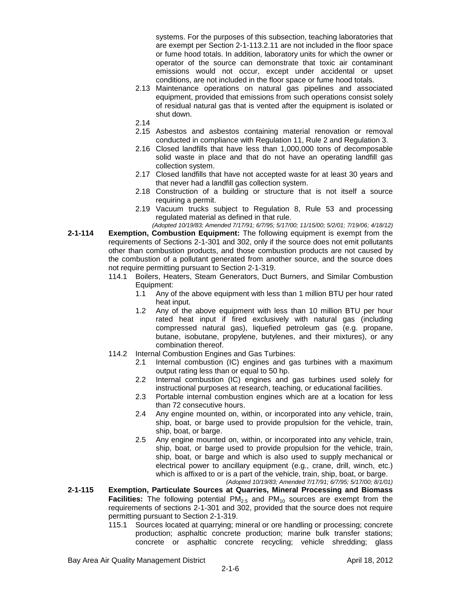systems. For the purposes of this subsection, teaching laboratories that are exempt per Section 2-1-113.2.11 are not included in the floor space or fume hood totals. In addition, laboratory units for which the owner or operator of the source can demonstrate that toxic air contaminant emissions would not occur, except under accidental or upset conditions, are not included in the floor space or fume hood totals.

- 2.13 Maintenance operations on natural gas pipelines and associated equipment, provided that emissions from such operations consist solely of residual natural gas that is vented after the equipment is isolated or shut down.
- 2.14
- 2.15 Asbestos and asbestos containing material renovation or removal conducted in compliance with Regulation 11, Rule 2 and Regulation 3.
- 2.16 Closed landfills that have less than 1,000,000 tons of decomposable solid waste in place and that do not have an operating landfill gas collection system.
- 2.17 Closed landfills that have not accepted waste for at least 30 years and that never had a landfill gas collection system.
- 2.18 Construction of a building or structure that is not itself a source requiring a permit.
- 2.19 Vacuum trucks subject to Regulation 8, Rule 53 and processing regulated material as defined in that rule.
- *(Adopted 10/19/83; Amended 7/17/91; 6/7/95; 5/17/00; 11/15/00; 5/2/01; 7/19/06; 4/18/12)* **2-1-114 Exemption, Combustion Equipment:** The following equipment is exempt from the requirements of Sections 2-1-301 and 302, only if the source does not emit pollutants other than combustion products, and those combustion products are not caused by the combustion of a pollutant generated from another source, and the source does not require permitting pursuant to Section 2-1-319.
	- 114.1 Boilers, Heaters, Steam Generators, Duct Burners, and Similar Combustion Equipment:
		- 1.1 Any of the above equipment with less than 1 million BTU per hour rated heat input.
		- 1.2 Any of the above equipment with less than 10 million BTU per hour rated heat input if fired exclusively with natural gas (including compressed natural gas), liquefied petroleum gas (e.g. propane, butane, isobutane, propylene, butylenes, and their mixtures), or any combination thereof.
	- 114.2 Internal Combustion Engines and Gas Turbines:
		- 2.1 Internal combustion (IC) engines and gas turbines with a maximum output rating less than or equal to 50 hp.
		- 2.2 Internal combustion (IC) engines and gas turbines used solely for instructional purposes at research, teaching, or educational facilities.
		- 2.3 Portable internal combustion engines which are at a location for less than 72 consecutive hours.
		- 2.4 Any engine mounted on, within, or incorporated into any vehicle, train, ship, boat, or barge used to provide propulsion for the vehicle, train, ship, boat, or barge.
		- 2.5 Any engine mounted on, within, or incorporated into any vehicle, train, ship, boat, or barge used to provide propulsion for the vehicle, train, ship, boat, or barge and which is also used to supply mechanical or electrical power to ancillary equipment (e.g., crane, drill, winch, etc.) which is affixed to or is a part of the vehicle, train, ship, boat, or barge. *(Adopted 10/19/83; Amended 7/17/91; 6/7/95; 5/17/00; 8/1/01)*
- **2-1-115 Exemption, Particulate Sources at Quarries, Mineral Processing and Biomass Facilities:** The following potential  $PM_{2.5}$  and  $PM_{10}$  sources are exempt from the requirements of sections 2-1-301 and 302, provided that the source does not require permitting pursuant to Section 2-1-319.
	- 115.1 Sources located at quarrying; mineral or ore handling or processing; concrete production; asphaltic concrete production; marine bulk transfer stations; concrete or asphaltic concrete recycling; vehicle shredding; glass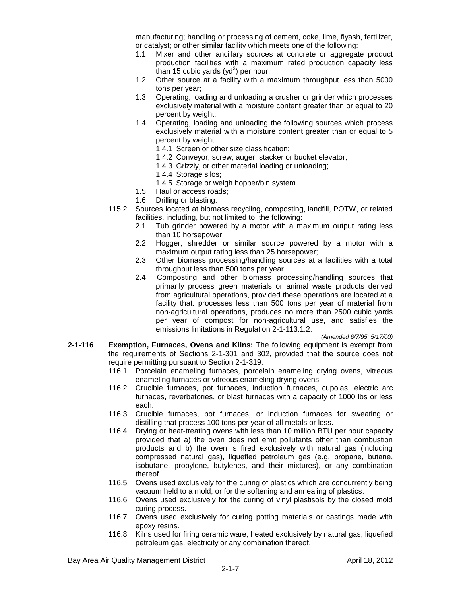manufacturing; handling or processing of cement, coke, lime, flyash, fertilizer, or catalyst; or other similar facility which meets one of the following:

- 1.1 Mixer and other ancillary sources at concrete or aggregate product production facilities with a maximum rated production capacity less than 15 cubic yards (yd<sup>3</sup>) per hour;
- 1.2 Other source at a facility with a maximum throughput less than 5000 tons per year;
- 1.3 Operating, loading and unloading a crusher or grinder which processes exclusively material with a moisture content greater than or equal to 20 percent by weight;
- 1.4 Operating, loading and unloading the following sources which process exclusively material with a moisture content greater than or equal to 5 percent by weight:
	- 1.4.1 Screen or other size classification;
	- 1.4.2 Conveyor, screw, auger, stacker or bucket elevator;
	- 1.4.3 Grizzly, or other material loading or unloading;
	- 1.4.4 Storage silos;
	- 1.4.5 Storage or weigh hopper/bin system.
- 1.5 Haul or access roads;
- 1.6 Drilling or blasting.
- 115.2 Sources located at biomass recycling, composting, landfill, POTW, or related facilities, including, but not limited to, the following:
	- 2.1 Tub grinder powered by a motor with a maximum output rating less than 10 horsepower;
	- 2.2 Hogger, shredder or similar source powered by a motor with a maximum output rating less than 25 horsepower;
	- 2.3 Other biomass processing/handling sources at a facilities with a total throughput less than 500 tons per year.
	- 2.4 Composting and other biomass processing/handling sources that primarily process green materials or animal waste products derived from agricultural operations, provided these operations are located at a facility that: processes less than 500 tons per year of material from non-agricultural operations, produces no more than 2500 cubic yards per year of compost for non-agricultural use, and satisfies the emissions limitations in Regulation 2-1-113.1.2.

*(Amended 6/7/95; 5/17/00)*

- **2-1-116 Exemption, Furnaces, Ovens and Kilns:** The following equipment is exempt from the requirements of Sections 2-1-301 and 302, provided that the source does not require permitting pursuant to Section 2-1-319.
	- 116.1 Porcelain enameling furnaces, porcelain enameling drying ovens, vitreous enameling furnaces or vitreous enameling drying ovens.
	- 116.2 Crucible furnaces, pot furnaces, induction furnaces, cupolas, electric arc furnaces, reverbatories, or blast furnaces with a capacity of 1000 lbs or less each.
	- 116.3 Crucible furnaces, pot furnaces, or induction furnaces for sweating or distilling that process 100 tons per year of all metals or less.
	- 116.4 Drying or heat-treating ovens with less than 10 million BTU per hour capacity provided that a) the oven does not emit pollutants other than combustion products and b) the oven is fired exclusively with natural gas (including compressed natural gas), liquefied petroleum gas (e.g. propane, butane, isobutane, propylene, butylenes, and their mixtures), or any combination thereof.
	- 116.5 Ovens used exclusively for the curing of plastics which are concurrently being vacuum held to a mold, or for the softening and annealing of plastics.
	- 116.6 Ovens used exclusively for the curing of vinyl plastisols by the closed mold curing process.
	- 116.7 Ovens used exclusively for curing potting materials or castings made with epoxy resins.
	- 116.8 Kilns used for firing ceramic ware, heated exclusively by natural gas, liquefied petroleum gas, electricity or any combination thereof.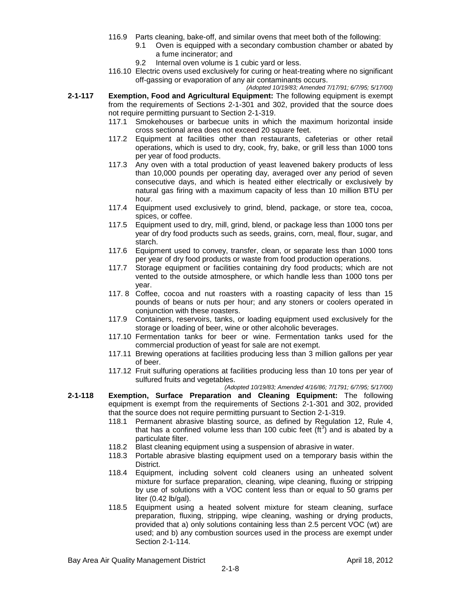- 116.9 Parts cleaning, bake-off, and similar ovens that meet both of the following:
	- 9.1 Oven is equipped with a secondary combustion chamber or abated by a fume incinerator; and
		- 9.2 Internal oven volume is 1 cubic yard or less.
- 116.10 Electric ovens used exclusively for curing or heat-treating where no significant off-gassing or evaporation of any air contaminants occurs.

*(Adopted 10/19/83; Amended 7/17/91; 6/7/95; 5/17/00)*

- **2-1-117 Exemption, Food and Agricultural Equipment:** The following equipment is exempt from the requirements of Sections 2-1-301 and 302, provided that the source does not require permitting pursuant to Section 2-1-319.
	- 117.1 Smokehouses or barbecue units in which the maximum horizontal inside cross sectional area does not exceed 20 square feet.
	- 117.2 Equipment at facilities other than restaurants, cafeterias or other retail operations, which is used to dry, cook, fry, bake, or grill less than 1000 tons per year of food products.
	- 117.3 Any oven with a total production of yeast leavened bakery products of less than 10,000 pounds per operating day, averaged over any period of seven consecutive days, and which is heated either electrically or exclusively by natural gas firing with a maximum capacity of less than 10 million BTU per hour.
	- 117.4 Equipment used exclusively to grind, blend, package, or store tea, cocoa, spices, or coffee.
	- 117.5 Equipment used to dry, mill, grind, blend, or package less than 1000 tons per year of dry food products such as seeds, grains, corn, meal, flour, sugar, and starch.
	- 117.6 Equipment used to convey, transfer, clean, or separate less than 1000 tons per year of dry food products or waste from food production operations.
	- 117.7 Storage equipment or facilities containing dry food products; which are not vented to the outside atmosphere, or which handle less than 1000 tons per year.
	- 117. 8 Coffee, cocoa and nut roasters with a roasting capacity of less than 15 pounds of beans or nuts per hour; and any stoners or coolers operated in conjunction with these roasters.
	- 117.9 Containers, reservoirs, tanks, or loading equipment used exclusively for the storage or loading of beer, wine or other alcoholic beverages.
	- 117.10 Fermentation tanks for beer or wine. Fermentation tanks used for the commercial production of yeast for sale are not exempt.
	- 117.11 Brewing operations at facilities producing less than 3 million gallons per year of beer.
	- 117.12 Fruit sulfuring operations at facilities producing less than 10 tons per year of sulfured fruits and vegetables.

*(Adopted 10/19/83; Amended 4/16/86; 7/1791; 6/7/95; 5/17/00)*

- **2-1-118 Exemption, Surface Preparation and Cleaning Equipment:** The following equipment is exempt from the requirements of Sections 2-1-301 and 302, provided that the source does not require permitting pursuant to Section 2-1-319.
	- 118.1 Permanent abrasive blasting source, as defined by Regulation 12, Rule 4, that has a confined volume less than 100 cubic feet  $(\text{ft}^3)$  and is abated by a particulate filter.
	- 118.2 Blast cleaning equipment using a suspension of abrasive in water.
	- 118.3 Portable abrasive blasting equipment used on a temporary basis within the District.
	- 118.4 Equipment, including solvent cold cleaners using an unheated solvent mixture for surface preparation, cleaning, wipe cleaning, fluxing or stripping by use of solutions with a VOC content less than or equal to 50 grams per liter  $(0.42 \text{ lb/gal})$ .
	- 118.5 Equipment using a heated solvent mixture for steam cleaning, surface preparation, fluxing, stripping, wipe cleaning, washing or drying products, provided that a) only solutions containing less than 2.5 percent VOC (wt) are used; and b) any combustion sources used in the process are exempt under Section 2-1-114.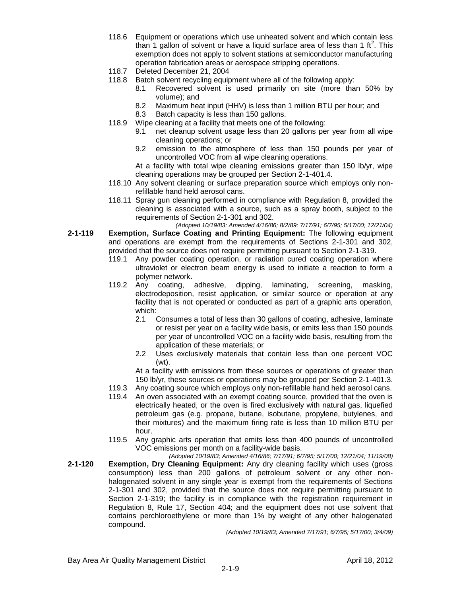- 118.6 Equipment or operations which use unheated solvent and which contain less than 1 gallon of solvent or have a liquid surface area of less than 1 ft<sup>2</sup>. This exemption does not apply to solvent stations at semiconductor manufacturing operation fabrication areas or aerospace stripping operations.
- 118.7 Deleted December 21, 2004
- 118.8 Batch solvent recycling equipment where all of the following apply:
	- 8.1 Recovered solvent is used primarily on site (more than 50% by volume); and
	- 8.2 Maximum heat input (HHV) is less than 1 million BTU per hour; and
	- 8.3 Batch capacity is less than 150 gallons.
- 118.9 Wipe cleaning at a facility that meets one of the following:
	- 9.1 net cleanup solvent usage less than 20 gallons per year from all wipe cleaning operations; or
	- 9.2 emission to the atmosphere of less than 150 pounds per year of uncontrolled VOC from all wipe cleaning operations.

At a facility with total wipe cleaning emissions greater than 150 lb/yr, wipe cleaning operations may be grouped per Section 2-1-401.4.

- 118.10 Any solvent cleaning or surface preparation source which employs only nonrefillable hand held aerosol cans.
- 118.11 Spray gun cleaning performed in compliance with Regulation 8, provided the cleaning is associated with a source, such as a spray booth, subject to the requirements of Section 2-1-301 and 302.
- *(Adopted 10/19/83; Amended 4/16/86; 8/2/89; 7/17/91; 6/7/95; 5/17/00; 12/21/04)* **2-1-119 Exemption, Surface Coating and Printing Equipment:** The following equipment and operations are exempt from the requirements of Sections 2-1-301 and 302, provided that the source does not require permitting pursuant to Section 2-1-319.
	- 119.1 Any powder coating operation, or radiation cured coating operation where ultraviolet or electron beam energy is used to initiate a reaction to form a polymer network.
	- 119.2 Any coating, adhesive, dipping, laminating, screening, masking, electrodeposition, resist application, or similar source or operation at any facility that is not operated or conducted as part of a graphic arts operation, which:
		- 2.1 Consumes a total of less than 30 gallons of coating, adhesive, laminate or resist per year on a facility wide basis, or emits less than 150 pounds per year of uncontrolled VOC on a facility wide basis, resulting from the application of these materials; or
		- 2.2 Uses exclusively materials that contain less than one percent VOC (wt).

At a facility with emissions from these sources or operations of greater than 150 lb/yr, these sources or operations may be grouped per Section 2-1-401.3.

- 119.3 Any coating source which employs only non-refillable hand held aerosol cans.
- 119.4 An oven associated with an exempt coating source, provided that the oven is electrically heated, or the oven is fired exclusively with natural gas, liquefied petroleum gas (e.g. propane, butane, isobutane, propylene, butylenes, and their mixtures) and the maximum firing rate is less than 10 million BTU per hour.
- 119.5 Any graphic arts operation that emits less than 400 pounds of uncontrolled VOC emissions per month on a facility-wide basis.
- *(Adopted 10/19/83; Amended 4/16/86; 7/17/91; 6/7/95; 5/17/00; 12/21/04; 11/19/08)* **2-1-120 Exemption, Dry Cleaning Equipment:** Any dry cleaning facility which uses (gross consumption) less than 200 gallons of petroleum solvent or any other nonhalogenated solvent in any single year is exempt from the requirements of Sections 2-1-301 and 302, provided that the source does not require permitting pursuant to Section 2-1-319; the facility is in compliance with the registration requirement in Regulation 8, Rule 17, Section 404; and the equipment does not use solvent that contains perchloroethylene or more than 1% by weight of any other halogenated compound.

*(Adopted 10/19/83; Amended 7/17/91; 6/7/95; 5/17/00; 3/4/09)*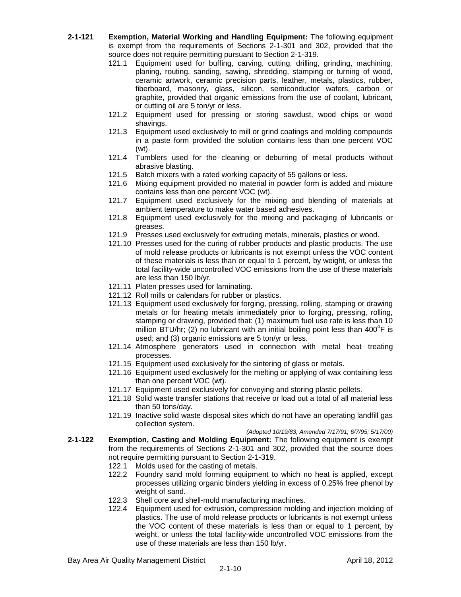- **2-1-121 Exemption, Material Working and Handling Equipment:** The following equipment is exempt from the requirements of Sections 2-1-301 and 302, provided that the source does not require permitting pursuant to Section 2-1-319.
	- 121.1 Equipment used for buffing, carving, cutting, drilling, grinding, machining, planing, routing, sanding, sawing, shredding, stamping or turning of wood, ceramic artwork, ceramic precision parts, leather, metals, plastics, rubber, fiberboard, masonry, glass, silicon, semiconductor wafers, carbon or graphite, provided that organic emissions from the use of coolant, lubricant, or cutting oil are 5 ton/yr or less.
	- 121.2 Equipment used for pressing or storing sawdust, wood chips or wood shavings.
	- 121.3 Equipment used exclusively to mill or grind coatings and molding compounds in a paste form provided the solution contains less than one percent VOC (wt).
	- 121.4 Tumblers used for the cleaning or deburring of metal products without abrasive blasting.
	- 121.5 Batch mixers with a rated working capacity of 55 gallons or less.
	- 121.6 Mixing equipment provided no material in powder form is added and mixture contains less than one percent VOC (wt).
	- 121.7 Equipment used exclusively for the mixing and blending of materials at ambient temperature to make water based adhesives.
	- 121.8 Equipment used exclusively for the mixing and packaging of lubricants or greases.
	- 121.9 Presses used exclusively for extruding metals, minerals, plastics or wood.
	- 121.10 Presses used for the curing of rubber products and plastic products. The use of mold release products or lubricants is not exempt unless the VOC content of these materials is less than or equal to 1 percent, by weight, or unless the total facility-wide uncontrolled VOC emissions from the use of these materials are less than 150 lb/yr.
	- 121.11 Platen presses used for laminating.
	- 121.12 Roll mills or calendars for rubber or plastics.
	- 121.13 Equipment used exclusively for forging, pressing, rolling, stamping or drawing metals or for heating metals immediately prior to forging, pressing, rolling, stamping or drawing, provided that: (1) maximum fuel use rate is less than 10 million BTU/hr; (2) no lubricant with an initial boiling point less than 400 $\degree$ F is used; and (3) organic emissions are 5 ton/yr or less.
	- 121.14 Atmosphere generators used in connection with metal heat treating processes.
	- 121.15 Equipment used exclusively for the sintering of glass or metals.
	- 121.16 Equipment used exclusively for the melting or applying of wax containing less than one percent VOC (wt).
	- 121.17 Equipment used exclusively for conveying and storing plastic pellets.
	- 121.18 Solid waste transfer stations that receive or load out a total of all material less than 50 tons/day.
	- 121.19 Inactive solid waste disposal sites which do not have an operating landfill gas collection system.

#### *(Adopted 10/19/83; Amended 7/17/91; 6/7/95; 5/17/00)*

- **2-1-122 Exemption, Casting and Molding Equipment:** The following equipment is exempt from the requirements of Sections 2-1-301 and 302, provided that the source does not require permitting pursuant to Section 2-1-319.
	- 122.1 Molds used for the casting of metals.
	- 122.2 Foundry sand mold forming equipment to which no heat is applied, except processes utilizing organic binders yielding in excess of 0.25% free phenol by weight of sand.
	- 122.3 Shell core and shell-mold manufacturing machines.
	- 122.4 Equipment used for extrusion, compression molding and injection molding of plastics. The use of mold release products or lubricants is not exempt unless the VOC content of these materials is less than or equal to 1 percent, by weight, or unless the total facility-wide uncontrolled VOC emissions from the use of these materials are less than 150 lb/yr.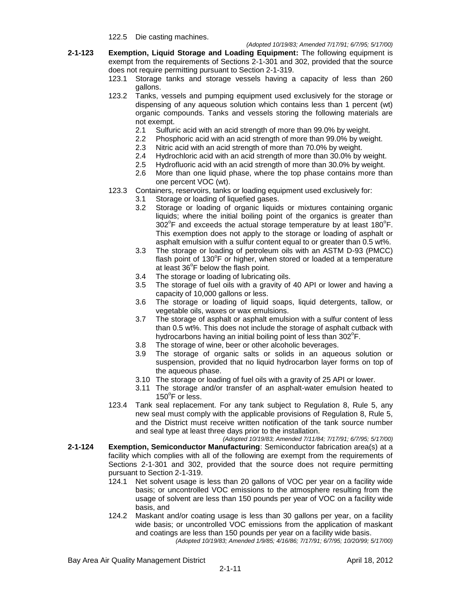122.5 Die casting machines.

- **2-1-123 Exemption, Liquid Storage and Loading Equipment:** The following equipment is exempt from the requirements of Sections 2-1-301 and 302, provided that the source does not require permitting pursuant to Section 2-1-319.
	- 123.1 Storage tanks and storage vessels having a capacity of less than 260 gallons.
	- 123.2 Tanks, vessels and pumping equipment used exclusively for the storage or dispensing of any aqueous solution which contains less than 1 percent (wt) organic compounds. Tanks and vessels storing the following materials are not exempt.
		- 2.1 Sulfuric acid with an acid strength of more than 99.0% by weight.
		- 2.2 Phosphoric acid with an acid strength of more than 99.0% by weight.
		- 2.3 Nitric acid with an acid strength of more than 70.0% by weight.
		- 2.4 Hydrochloric acid with an acid strength of more than 30.0% by weight.
		- 2.5 Hydrofluoric acid with an acid strength of more than 30.0% by weight.
		- 2.6 More than one liquid phase, where the top phase contains more than one percent VOC (wt).
	- 123.3 Containers, reservoirs, tanks or loading equipment used exclusively for:
		- 3.1 Storage or loading of liquefied gases.
		- 3.2 Storage or loading of organic liquids or mixtures containing organic liquids; where the initial boiling point of the organics is greater than  $302^{\circ}$ F and exceeds the actual storage temperature by at least 180 $^{\circ}$ F. This exemption does not apply to the storage or loading of asphalt or asphalt emulsion with a sulfur content equal to or greater than 0.5 wt%.
		- 3.3 The storage or loading of petroleum oils with an ASTM D-93 (PMCC) flash point of 130°F or higher, when stored or loaded at a temperature at least  $36^{\circ}$ F below the flash point.
		- 3.4 The storage or loading of lubricating oils.
		- 3.5 The storage of fuel oils with a gravity of 40 API or lower and having a capacity of 10,000 gallons or less.
		- 3.6 The storage or loading of liquid soaps, liquid detergents, tallow, or vegetable oils, waxes or wax emulsions.
		- 3.7 The storage of asphalt or asphalt emulsion with a sulfur content of less than 0.5 wt%. This does not include the storage of asphalt cutback with hydrocarbons having an initial boiling point of less than 302 $\mathrm{^oF}.$
		- 3.8 The storage of wine, beer or other alcoholic beverages.
		- 3.9 The storage of organic salts or solids in an aqueous solution or suspension, provided that no liquid hydrocarbon layer forms on top of the aqueous phase.
		- 3.10 The storage or loading of fuel oils with a gravity of 25 API or lower.
		- 3.11 The storage and/or transfer of an asphalt-water emulsion heated to 150°F or less.
	- 123.4 Tank seal replacement. For any tank subject to Regulation 8, Rule 5, any new seal must comply with the applicable provisions of Regulation 8, Rule 5, and the District must receive written notification of the tank source number and seal type at least three days prior to the installation.

*(Adopted 10/19/83; Amended 7/11/84; 7/17/91; 6/7/95; 5/17/00)* **2-1-124 Exemption, Semiconductor Manufacturing**: Semiconductor fabrication area(s) at a facility which complies with all of the following are exempt from the requirements of Sections 2-1-301 and 302, provided that the source does not require permitting pursuant to Section 2-1-319.

- 124.1 Net solvent usage is less than 20 gallons of VOC per year on a facility wide basis; or uncontrolled VOC emissions to the atmosphere resulting from the usage of solvent are less than 150 pounds per year of VOC on a facility wide basis, and
- 124.2 Maskant and/or coating usage is less than 30 gallons per year, on a facility wide basis; or uncontrolled VOC emissions from the application of maskant and coatings are less than 150 pounds per year on a facility wide basis.

*(Adopted 10/19/83; Amended 1/9/85; 4/16/86; 7/17/91; 6/7/95; 10/20/99; 5/17/00)*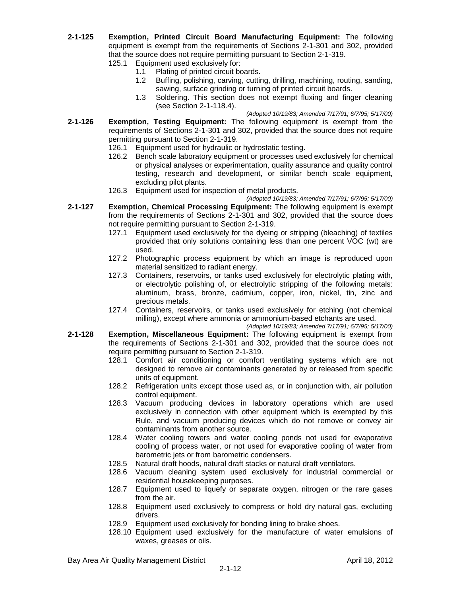- **2-1-125 Exemption, Printed Circuit Board Manufacturing Equipment:** The following equipment is exempt from the requirements of Sections 2-1-301 and 302, provided that the source does not require permitting pursuant to Section 2-1-319.
	- 125.1 Equipment used exclusively for:
		- 1.1 Plating of printed circuit boards.
		- 1.2 Buffing, polishing, carving, cutting, drilling, machining, routing, sanding, sawing, surface grinding or turning of printed circuit boards.
		- 1.3 Soldering. This section does not exempt fluxing and finger cleaning (see Section 2-1-118.4).
- *(Adopted 10/19/83; Amended 7/17/91; 6/7/95; 5/17/00)* **2-1-126 Exemption, Testing Equipment:** The following equipment is exempt from the requirements of Sections 2-1-301 and 302, provided that the source does not require permitting pursuant to Section 2-1-319.
	- 126.1 Equipment used for hydraulic or hydrostatic testing.
	- 126.2 Bench scale laboratory equipment or processes used exclusively for chemical or physical analyses or experimentation, quality assurance and quality control testing, research and development, or similar bench scale equipment, excluding pilot plants.
	- 126.3 Equipment used for inspection of metal products.

*(Adopted 10/19/83; Amended 7/17/91; 6/7/95; 5/17/00)*

- **2-1-127 Exemption, Chemical Processing Equipment:** The following equipment is exempt from the requirements of Sections 2-1-301 and 302, provided that the source does not require permitting pursuant to Section 2-1-319.
	- 127.1 Equipment used exclusively for the dyeing or stripping (bleaching) of textiles provided that only solutions containing less than one percent VOC (wt) are used.
	- 127.2 Photographic process equipment by which an image is reproduced upon material sensitized to radiant energy.
	- 127.3 Containers, reservoirs, or tanks used exclusively for electrolytic plating with, or electrolytic polishing of, or electrolytic stripping of the following metals: aluminum, brass, bronze, cadmium, copper, iron, nickel, tin, zinc and precious metals.
	- 127.4 Containers, reservoirs, or tanks used exclusively for etching (not chemical milling), except where ammonia or ammonium-based etchants are used.

*(Adopted 10/19/83; Amended 7/17/91; 6/7/95; 5/17/00)*

- **2-1-128 Exemption, Miscellaneous Equipment:** The following equipment is exempt from the requirements of Sections 2-1-301 and 302, provided that the source does not require permitting pursuant to Section 2-1-319.
	- 128.1 Comfort air conditioning or comfort ventilating systems which are not designed to remove air contaminants generated by or released from specific units of equipment.
	- 128.2 Refrigeration units except those used as, or in conjunction with, air pollution control equipment.
	- 128.3 Vacuum producing devices in laboratory operations which are used exclusively in connection with other equipment which is exempted by this Rule, and vacuum producing devices which do not remove or convey air contaminants from another source.
	- 128.4 Water cooling towers and water cooling ponds not used for evaporative cooling of process water, or not used for evaporative cooling of water from barometric jets or from barometric condensers.
	- 128.5 Natural draft hoods, natural draft stacks or natural draft ventilators.
	- 128.6 Vacuum cleaning system used exclusively for industrial commercial or residential housekeeping purposes.
	- 128.7 Equipment used to liquefy or separate oxygen, nitrogen or the rare gases from the air.
	- 128.8 Equipment used exclusively to compress or hold dry natural gas, excluding drivers.
	- 128.9 Equipment used exclusively for bonding lining to brake shoes.
	- 128.10 Equipment used exclusively for the manufacture of water emulsions of waxes, greases or oils.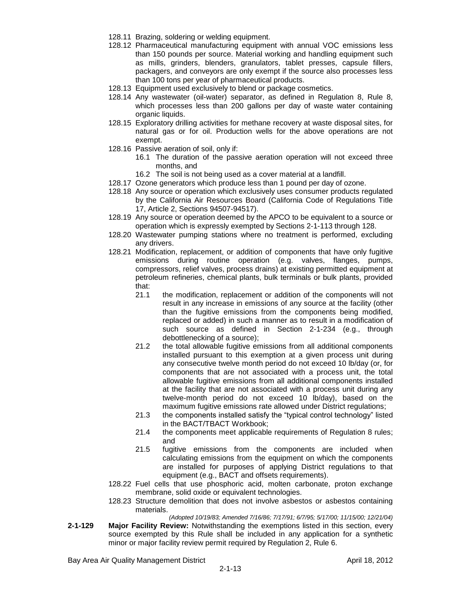- 128.11 Brazing, soldering or welding equipment.
- 128.12 Pharmaceutical manufacturing equipment with annual VOC emissions less than 150 pounds per source. Material working and handling equipment such as mills, grinders, blenders, granulators, tablet presses, capsule fillers, packagers, and conveyors are only exempt if the source also processes less than 100 tons per year of pharmaceutical products.
- 128.13 Equipment used exclusively to blend or package cosmetics.
- 128.14 Any wastewater (oil-water) separator, as defined in Regulation 8, Rule 8, which processes less than 200 gallons per day of waste water containing organic liquids.
- 128.15 Exploratory drilling activities for methane recovery at waste disposal sites, for natural gas or for oil. Production wells for the above operations are not exempt.
- 128.16 Passive aeration of soil, only if:
	- 16.1 The duration of the passive aeration operation will not exceed three months, and
	- 16.2 The soil is not being used as a cover material at a landfill.
- 128.17 Ozone generators which produce less than 1 pound per day of ozone.
- 128.18 Any source or operation which exclusively uses consumer products regulated by the California Air Resources Board (California Code of Regulations Title 17, Article 2, Sections 94507-94517).
- 128.19 Any source or operation deemed by the APCO to be equivalent to a source or operation which is expressly exempted by Sections 2-1-113 through 128.
- 128.20 Wastewater pumping stations where no treatment is performed, excluding any drivers.
- 128.21 Modification, replacement, or addition of components that have only fugitive emissions during routine operation (e.g. valves, flanges, pumps, compressors, relief valves, process drains) at existing permitted equipment at petroleum refineries, chemical plants, bulk terminals or bulk plants, provided that:
	- 21.1 the modification, replacement or addition of the components will not result in any increase in emissions of any source at the facility (other than the fugitive emissions from the components being modified, replaced or added) in such a manner as to result in a modification of such source as defined in Section 2-1-234 (e.g., through debottlenecking of a source);
	- 21.2 the total allowable fugitive emissions from all additional components installed pursuant to this exemption at a given process unit during any consecutive twelve month period do not exceed 10 lb/day (or, for components that are not associated with a process unit, the total allowable fugitive emissions from all additional components installed at the facility that are not associated with a process unit during any twelve-month period do not exceed 10 lb/day), based on the maximum fugitive emissions rate allowed under District regulations;
	- 21.3 the components installed satisfy the "typical control technology" listed in the BACT/TBACT Workbook;
	- 21.4 the components meet applicable requirements of Regulation 8 rules; and
	- 21.5 fugitive emissions from the components are included when calculating emissions from the equipment on which the components are installed for purposes of applying District regulations to that equipment (e.g., BACT and offsets requirements).
- 128.22 Fuel cells that use phosphoric acid, molten carbonate, proton exchange membrane, solid oxide or equivalent technologies.
- 128.23 Structure demolition that does not involve asbestos or asbestos containing materials.
- *(Adopted 10/19/83; Amended 7/16/86; 7/17/91; 6/7/95; 5/17/00; 11/15/00; 12/21/04)* **2-1-129 Major Facility Review:** Notwithstanding the exemptions listed in this section, every source exempted by this Rule shall be included in any application for a synthetic minor or major facility review permit required by Regulation 2, Rule 6.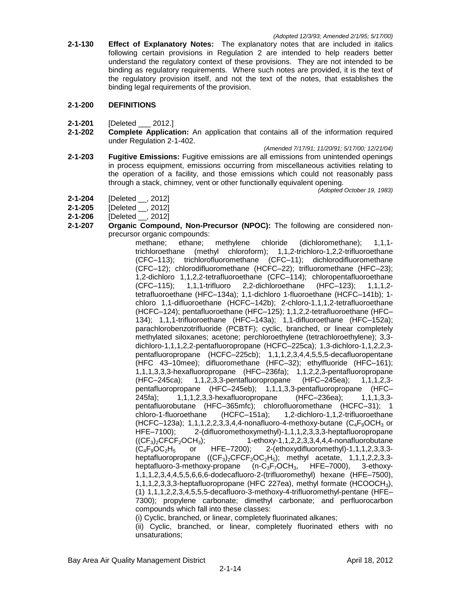**2-1-130 Effect of Explanatory Notes:** The explanatory notes that are included in italics following certain provisions in Regulation 2 are intended to help readers better understand the regulatory context of these provisions. They are not intended to be binding as regulatory requirements. Where such notes are provided, it is the text of the regulatory provision itself, and not the text of the notes, that establishes the binding legal requirements of the provision.

### **2-1-200 DEFINITIONS**

- **2-1-201** [Deleted \_\_\_ 2012.]
- **2-1-202 Complete Application:** An application that contains all of the information required under Regulation 2-1-402.

*(Amended 7/17/91; 11/20/91; 5/17/00; 12/21/04)*

**2-1-203 Fugitive Emissions:** Fugitive emissions are all emissions from unintended openings in process equipment, emissions occurring from miscellaneous activities relating to the operation of a facility, and those emissions which could not reasonably pass through a stack, chimney, vent or other functionally equivalent opening.

*(Adopted October 19, 1983)*

- **2-1-204** [Deleted \_\_, 2012]
- **2-1-205** [Deleted \_\_, 2012]
- **2-1-206** [Deleted \_\_, 2012]
- **2-1-207 Organic Compound, Non-Precursor (NPOC):** The following are considered nonprecursor organic compounds:

methane; ethane; methylene chloride (dichloromethane); 1,1,1 trichloroethane (methyl chloroform); 1,1,2-trichloro-1,2,2-trifluoroethane (CFC–113); trichlorofluoromethane (CFC–11); dichlorodifluoromethane (CFC–12); chlorodifluoromethane (HCFC–22); trifluoromethane (HFC–23); 1,2-dichloro 1,1,2,2-tetrafluoroethane (CFC–114); chloropentafluoroethane (CFC–115); 1,1,1-trifluoro 2,2-dichloroethane (HFC–123); 1,1,1,2 tetrafluoroethane (HFC–134a); 1,1-dichloro 1-fluoroethane (HCFC–141b); 1 chloro 1,1-difluoroethane (HCFC–142b); 2-chloro-1,1,1,2-tetrafluoroethane (HCFC–124); pentafluoroethane (HFC–125); 1,1,2,2-tetrafluoroethane (HFC– 134); 1,1,1-trifluoroethane (HFC–143a); 1,1-difluoroethane (HFC–152a); parachlorobenzotrifluoride (PCBTF); cyclic, branched, or linear completely methylated siloxanes; acetone; perchloroethylene (tetrachloroethylene); 3,3 dichloro-1,1,1,2,2-pentafluoropropane (HCFC–225ca); 1,3-dichloro-1,1,2,2,3 pentafluoropropane (HCFC–225cb); 1,1,1,2,3,4,4,5,5,5-decafluoropentane (HFC 43–10mee); difluoromethane (HFC–32); ethylfluoride (HFC–161); 1,1,1,3,3,3-hexafluoropropane (HFC–236fa); 1,1,2,2,3-pentafluoropropane (HFC–245ca); 1,1,2,3,3-pentafluoropropane (HFC–245ea); 1,1,1,2,3 pentafluoropropane (HFC–245eb); 1,1,1,3,3-pentafluoropropane (HFC– 245fa); 1,1,1,2,3,3-hexafluoropropane (HFC–236ea); 1,1,1,3,3 pentafluorobutane (HFC–365mfc); chlorofluoromethane (HCFC–31); 1 chloro-1-fluoroethane (HCFC–151a); 1,2-dichloro-1,1,2-trifluoroethane (HCFC–123a); 1,1,1,2,2,3,3,4,4-nonafluoro-4-methoxy-butane  $(C_4F_9OCH_3$  or HFE–7100); 2-(difluoromethoxymethyl)-1,1,1,2,3,3,3-heptafluoropropane  $((CF<sub>3</sub>)<sub>2</sub>CFCF<sub>2</sub>OCH<sub>3</sub>);$  1-ethoxy-1,1,2,2,3,3,4,4,4-nonafluorobutane  $(C_4F_9OC_2H_5$  or HFE–7200); 2-(ethoxydifluoromethyl)-1,1,1,2,3,3,3heptafluoropropane  $((CF_3)_2CFCF_2OC_2H_5)$ ; methyl acetate, 1,1,1,2,2,3,3heptafluoro-3-methoxy-propane  $(n-C_3F_7OCH_3,$  HFE–7000), 3-ethoxy-1,1,1,2,3,4,4,5,5,6,6,6-dodecafluoro-2-(trifluoromethyl) hexane (HFE–7500), 1,1,1,2,3,3,3-heptafluoropropane (HFC 227ea), methyl formate (HCOOCH3), (1) 1,1,1,2,2,3,4,5,5,5-decafluoro-3-methoxy-4-trifluoromethyl-pentane (HFE– 7300); propylene carbonate; dimethyl carbonate; and perfluorocarbon compounds which fall into these classes:

(i) Cyclic, branched, or linear, completely fluorinated alkanes;

(ii) Cyclic, branched, or linear, completely fluorinated ethers with no unsaturations;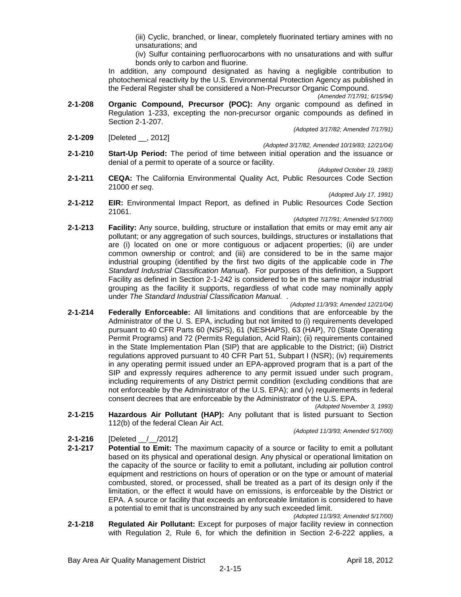(iii) Cyclic, branched, or linear, completely fluorinated tertiary amines with no unsaturations; and

(iv) Sulfur containing perfluorocarbons with no unsaturations and with sulfur bonds only to carbon and fluorine.

In addition, any compound designated as having a negligible contribution to photochemical reactivity by the U.S. Environmental Protection Agency as published in the Federal Register shall be considered a Non-Precursor Organic Compound.

*(Amended 7/17/91; 6/15/94)*

- **2-1-208 Organic Compound, Precursor (POC):** Any organic compound as defined in Regulation 1-233, excepting the non-precursor organic compounds as defined in Section 2-1-207. *(Adopted 3/17/82; Amended 7/17/91)*
- **2-1-209** [Deleted \_\_, 2012]

- *(Adopted 3/17/82, Amended 10/19/83; 12/21/04)* **2-1-210 Start-Up Period:** The period of time between initial operation and the issuance or denial of a permit to operate of a source or facility.
	- *(Adopted October 19, 1983)*
- **2-1-211 CEQA:** The California Environmental Quality Act, Public Resources Code Section 21000 *et seq*.

*(Adopted July 17, 1991)*

**2-1-212 EIR:** Environmental Impact Report, as defined in Public Resources Code Section 21061.

#### *(Adopted 7/17/91; Amended 5/17/00)*

**2-1-213 Facility:** Any source, building, structure or installation that emits or may emit any air pollutant; or any aggregation of such sources, buildings, structures or installations that are (i) located on one or more contiguous or adjacent properties; (ii) are under common ownership or control; and (iii) are considered to be in the same major industrial grouping (identified by the first two digits of the applicable code in *The Standard Industrial Classification Manual*). For purposes of this definition, a Support Facility as defined in Section 2-1-242 is considered to be in the same major industrial grouping as the facility it supports, regardless of what code may nominally apply under *The Standard Industrial Classification Manual*. .

*(Adopted 11/3/93; Amended 12/21/04)*

- **2-1-214 Federally Enforceable:** All limitations and conditions that are enforceable by the Administrator of the U. S. EPA, including but not limited to (i) requirements developed pursuant to 40 CFR Parts 60 (NSPS), 61 (NESHAPS), 63 (HAP), 70 (State Operating Permit Programs) and 72 (Permits Regulation, Acid Rain); (ii) requirements contained in the State Implementation Plan (SIP) that are applicable to the District; (iii) District regulations approved pursuant to 40 CFR Part 51, Subpart I (NSR); (iv) requirements in any operating permit issued under an EPA-approved program that is a part of the SIP and expressly requires adherence to any permit issued under such program, including requirements of any District permit condition (excluding conditions that are not enforceable by the Administrator of the U.S. EPA); and (v) requirements in federal consent decrees that are enforceable by the Administrator of the U.S. EPA.
- *(Adopted November 3, 1993)* **2-1-215 Hazardous Air Pollutant (HAP):** Any pollutant that is listed pursuant to Section 112(b) of the federal Clean Air Act.

#### *(Adopted 11/3/93; Amended 5/17/00)*

- **2-1-216** [Deleted / /2012]
- **2-1-217 Potential to Emit:** The maximum capacity of a source or facility to emit a pollutant based on its physical and operational design. Any physical or operational limitation on the capacity of the source or facility to emit a pollutant, including air pollution control equipment and restrictions on hours of operation or on the type or amount of material combusted, stored, or processed, shall be treated as a part of its design only if the limitation, or the effect it would have on emissions, is enforceable by the District or EPA. A source or facility that exceeds an enforceable limitation is considered to have a potential to emit that is unconstrained by any such exceeded limit.

*(Adopted 11/3/93; Amended 5/17/00)*

**2-1-218 Regulated Air Pollutant:** Except for purposes of major facility review in connection with Regulation 2, Rule 6, for which the definition in Section 2-6-222 applies, a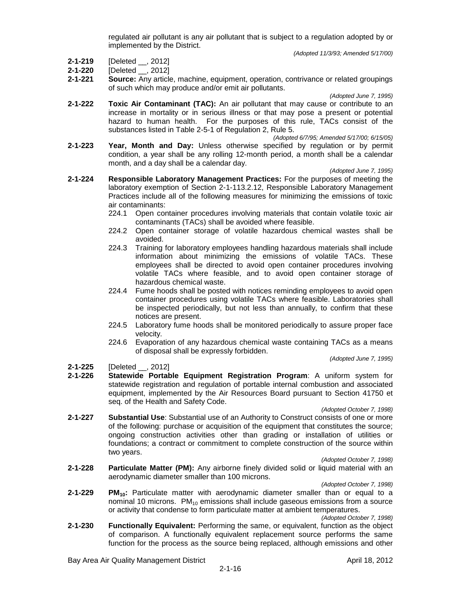regulated air pollutant is any air pollutant that is subject to a regulation adopted by or implemented by the District.

*(Adopted 11/3/93; Amended 5/17/00)*

- **2-1-219** [Deleted \_\_, 2012]
- **2-1-220** [Deleted \_\_, 2012]
- **2-1-221 Source:** Any article, machine, equipment, operation, contrivance or related groupings of such which may produce and/or emit air pollutants.

*(Adopted June 7, 1995)*

**2-1-222 Toxic Air Contaminant (TAC):** An air pollutant that may cause or contribute to an increase in mortality or in serious illness or that may pose a present or potential hazard to human health. For the purposes of this rule, TACs consist of the substances listed in Table 2-5-1 of Regulation 2, Rule 5.

*(Adopted 6/7/95; Amended 5/17/00; 6/15/05)*

**2-1-223 Year, Month and Day:** Unless otherwise specified by regulation or by permit condition, a year shall be any rolling 12-month period, a month shall be a calendar month, and a day shall be a calendar day.

*(Adopted June 7, 1995)*

- **2-1-224 Responsible Laboratory Management Practices:** For the purposes of meeting the laboratory exemption of Section 2-1-113.2.12, Responsible Laboratory Management Practices include all of the following measures for minimizing the emissions of toxic air contaminants:
	- 224.1 Open container procedures involving materials that contain volatile toxic air contaminants (TACs) shall be avoided where feasible.
	- 224.2 Open container storage of volatile hazardous chemical wastes shall be avoided.
	- 224.3 Training for laboratory employees handling hazardous materials shall include information about minimizing the emissions of volatile TACs. These employees shall be directed to avoid open container procedures involving volatile TACs where feasible, and to avoid open container storage of hazardous chemical waste.
	- 224.4 Fume hoods shall be posted with notices reminding employees to avoid open container procedures using volatile TACs where feasible. Laboratories shall be inspected periodically, but not less than annually, to confirm that these notices are present.
	- 224.5 Laboratory fume hoods shall be monitored periodically to assure proper face velocity.
	- 224.6 Evaporation of any hazardous chemical waste containing TACs as a means of disposal shall be expressly forbidden.

*(Adopted June 7, 1995)*

- **2-1-225** [Deleted \_\_, 2012]
- **2-1-226 Statewide Portable Equipment Registration Program**: A uniform system for statewide registration and regulation of portable internal combustion and associated equipment, implemented by the Air Resources Board pursuant to Section 41750 et seq. of the Health and Safety Code.

*(Adopted October 7, 1998)*

**2-1-227 Substantial Use**: Substantial use of an Authority to Construct consists of one or more of the following: purchase or acquisition of the equipment that constitutes the source; ongoing construction activities other than grading or installation of utilities or foundations; a contract or commitment to complete construction of the source within two years.

*(Adopted October 7, 1998)*

**2-1-228 Particulate Matter (PM):** Any airborne finely divided solid or liquid material with an aerodynamic diameter smaller than 100 microns.

*(Adopted October 7, 1998)*

- **2-1-229 PM10:** Particulate matter with aerodynamic diameter smaller than or equal to a nominal 10 microns.  $PM_{10}$  emissions shall include gaseous emissions from a source or activity that condense to form particulate matter at ambient temperatures. *(Adopted October 7, 1998)*
- **2-1-230 Functionally Equivalent:** Performing the same, or equivalent, function as the object of comparison. A functionally equivalent replacement source performs the same function for the process as the source being replaced, although emissions and other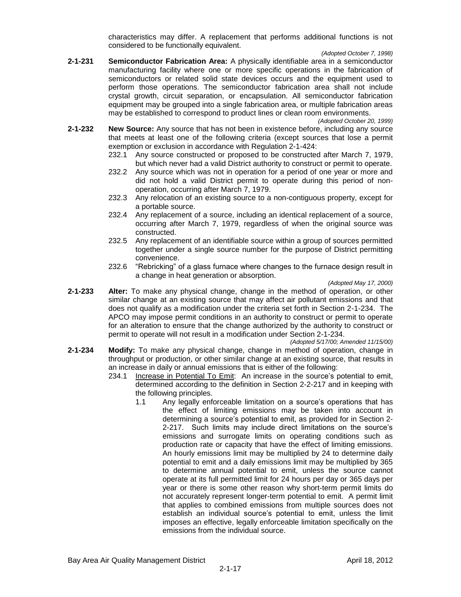characteristics may differ. A replacement that performs additional functions is not considered to be functionally equivalent.

*(Adopted October 7, 1998)*

**2-1-231 Semiconductor Fabrication Area:** A physically identifiable area in a semiconductor manufacturing facility where one or more specific operations in the fabrication of semiconductors or related solid state devices occurs and the equipment used to perform those operations. The semiconductor fabrication area shall not include crystal growth, circuit separation, or encapsulation. All semiconductor fabrication equipment may be grouped into a single fabrication area, or multiple fabrication areas may be established to correspond to product lines or clean room environments.

*(Adopted October 20, 1999)*

- **2-1-232 New Source:** Any source that has not been in existence before, including any source that meets at least one of the following criteria (except sources that lose a permit exemption or exclusion in accordance with Regulation 2-1-424:
	- 232.1 Any source constructed or proposed to be constructed after March 7, 1979, but which never had a valid District authority to construct or permit to operate.
	- 232.2 Any source which was not in operation for a period of one year or more and did not hold a valid District permit to operate during this period of nonoperation, occurring after March 7, 1979.
	- 232.3 Any relocation of an existing source to a non-contiguous property, except for a portable source.
	- 232.4 Any replacement of a source, including an identical replacement of a source, occurring after March 7, 1979, regardless of when the original source was constructed.
	- 232.5 Any replacement of an identifiable source within a group of sources permitted together under a single source number for the purpose of District permitting convenience.
	- 232.6 "Rebricking" of a glass furnace where changes to the furnace design result in a change in heat generation or absorption.

*(Adopted May 17, 2000)*

**2-1-233 Alter:** To make any physical change, change in the method of operation, or other similar change at an existing source that may affect air pollutant emissions and that does not qualify as a modification under the criteria set forth in Section 2-1-234. The APCO may impose permit conditions in an authority to construct or permit to operate for an alteration to ensure that the change authorized by the authority to construct or permit to operate will not result in a modification under Section 2-1-234.

*(Adopted 5/17/00; Amended 11/15/00)*

- **2-1-234 Modify:** To make any physical change, change in method of operation, change in throughput or production, or other similar change at an existing source, that results in an increase in daily or annual emissions that is either of the following:
	- 234.1 Increase in Potential To Emit: An increase in the source's potential to emit, determined according to the definition in Section 2-2-217 and in keeping with the following principles.
		- 1.1 Any legally enforceable limitation on a source's operations that has the effect of limiting emissions may be taken into account in determining a source's potential to emit, as provided for in Section 2- 2-217. Such limits may include direct limitations on the source's emissions and surrogate limits on operating conditions such as production rate or capacity that have the effect of limiting emissions. An hourly emissions limit may be multiplied by 24 to determine daily potential to emit and a daily emissions limit may be multiplied by 365 to determine annual potential to emit, unless the source cannot operate at its full permitted limit for 24 hours per day or 365 days per year or there is some other reason why short-term permit limits do not accurately represent longer-term potential to emit. A permit limit that applies to combined emissions from multiple sources does not establish an individual source's potential to emit, unless the limit imposes an effective, legally enforceable limitation specifically on the emissions from the individual source.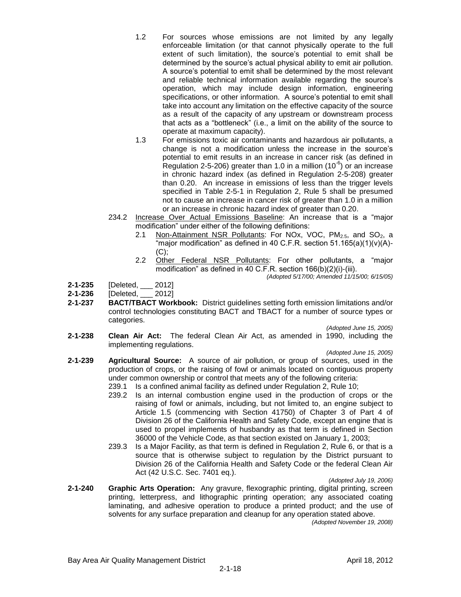- 1.2 For sources whose emissions are not limited by any legally enforceable limitation (or that cannot physically operate to the full extent of such limitation), the source's potential to emit shall be determined by the source's actual physical ability to emit air pollution. A source's potential to emit shall be determined by the most relevant and reliable technical information available regarding the source's operation, which may include design information, engineering specifications, or other information. A source's potential to emit shall take into account any limitation on the effective capacity of the source as a result of the capacity of any upstream or downstream process that acts as a "bottleneck" (i.e., a limit on the ability of the source to operate at maximum capacity).
- 1.3 For emissions toxic air contaminants and hazardous air pollutants, a change is not a modification unless the increase in the source's potential to emit results in an increase in cancer risk (as defined in Regulation 2-5-206) greater than 1.0 in a million (10<sup>-6</sup>) or an increase in chronic hazard index (as defined in Regulation 2-5-208) greater than 0.20. An increase in emissions of less than the trigger levels specified in Table 2-5-1 in Regulation 2, Rule 5 shall be presumed not to cause an increase in cancer risk of greater than 1.0 in a million or an increase in chronic hazard index of greater than 0.20.
- 234.2 Increase Over Actual Emissions Baseline: An increase that is a "major modification" under either of the following definitions:
	- 2.1 Non-Attainment NSR Pollutants: For NOx, VOC,  $PM_{2.5}$ , and SO<sub>2</sub>, a "major modification" as defined in 40 C.F.R. section  $51.165(a)(1)(v)(A)$ - $(C)$ ;
	- 2.2 Other Federal NSR Pollutants: For other pollutants, a "major modification" as defined in 40 C.F.R. section 166(b)(2)(i)-(iii).

*(Adopted 5/17/00; Amended 11/15/00; 6/15/05)*

- **2-1-235** [Deleted, \_\_\_ 2012]
- **2-1-236** [Deleted, \_\_\_ 2012]
- **2-1-237 BACT/TBACT Workbook:** District guidelines setting forth emission limitations and/or control technologies constituting BACT and TBACT for a number of source types or categories.

*(Adopted June 15, 2005)*

**2-1-238 Clean Air Act:** The federal Clean Air Act, as amended in 1990, including the implementing regulations.

*(Adopted June 15, 2005)*

- **2-1-239 Agricultural Source:** A source of air pollution, or group of sources, used in the production of crops, or the raising of fowl or animals located on contiguous property under common ownership or control that meets any of the following criteria:
	- 239.1 Is a confined animal facility as defined under Regulation 2, Rule 10;
	- 239.2 Is an internal combustion engine used in the production of crops or the raising of fowl or animals, including, but not limited to, an engine subject to Article 1.5 (commencing with Section 41750) of Chapter 3 of Part 4 of Division 26 of the California Health and Safety Code, except an engine that is used to propel implements of husbandry as that term is defined in Section 36000 of the Vehicle Code, as that section existed on January 1, 2003;
	- 239.3 Is a Major Facility, as that term is defined in Regulation 2, Rule 6, or that is a source that is otherwise subject to regulation by the District pursuant to Division 26 of the California Health and Safety Code or the federal Clean Air Act (42 U.S.C. Sec. 7401 eq.).

*(Adopted July 19, 2006)*

**2-1-240 Graphic Arts Operation:** Any gravure, flexographic printing, digital printing, screen printing, letterpress, and lithographic printing operation; any associated coating laminating, and adhesive operation to produce a printed product; and the use of solvents for any surface preparation and cleanup for any operation stated above.

*(Adopted November 19, 2008)*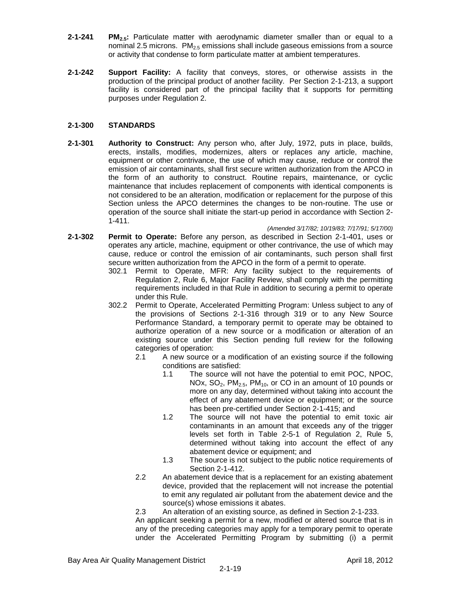- **2-1-241 PM2.5:** Particulate matter with aerodynamic diameter smaller than or equal to a nominal 2.5 microns.  $PM_{2.5}$  emissions shall include gaseous emissions from a source or activity that condense to form particulate matter at ambient temperatures.
- **2-1-242 Support Facility:** A facility that conveys, stores, or otherwise assists in the production of the principal product of another facility. Per Section 2-1-213, a support facility is considered part of the principal facility that it supports for permitting purposes under Regulation 2.

## **2-1-300 STANDARDS**

**2-1-301 Authority to Construct:** Any person who, after July, 1972, puts in place, builds, erects, installs, modifies, modernizes, alters or replaces any article, machine, equipment or other contrivance, the use of which may cause, reduce or control the emission of air contaminants, shall first secure written authorization from the APCO in the form of an authority to construct. Routine repairs, maintenance, or cyclic maintenance that includes replacement of components with identical components is not considered to be an alteration, modification or replacement for the purpose of this Section unless the APCO determines the changes to be non-routine. The use or operation of the source shall initiate the start-up period in accordance with Section 2- 1-411.

#### *(Amended 3/17/82; 10/19/83; 7/17/91; 5/17/00)*

- **2-1-302 Permit to Operate:** Before any person, as described in Section 2-1-401, uses or operates any article, machine, equipment or other contrivance, the use of which may cause, reduce or control the emission of air contaminants, such person shall first secure written authorization from the APCO in the form of a permit to operate.
	- 302.1 Permit to Operate, MFR: Any facility subject to the requirements of Regulation 2, Rule 6, Major Facility Review, shall comply with the permitting requirements included in that Rule in addition to securing a permit to operate under this Rule.
	- 302.2 Permit to Operate, Accelerated Permitting Program: Unless subject to any of the provisions of Sections 2-1-316 through 319 or to any New Source Performance Standard, a temporary permit to operate may be obtained to authorize operation of a new source or a modification or alteration of an existing source under this Section pending full review for the following categories of operation:
		- 2.1 A new source or a modification of an existing source if the following conditions are satisfied:
			- 1.1 The source will not have the potential to emit POC, NPOC, NOx,  $SO_2$ ,  $PM_{2.5}$ ,  $PM_{10}$ , or CO in an amount of 10 pounds or more on any day, determined without taking into account the effect of any abatement device or equipment; or the source has been pre-certified under Section 2-1-415; and
			- 1.2 The source will not have the potential to emit toxic air contaminants in an amount that exceeds any of the trigger levels set forth in Table 2-5-1 of Regulation 2, Rule 5, determined without taking into account the effect of any abatement device or equipment; and
			- 1.3 The source is not subject to the public notice requirements of Section 2-1-412.
		- 2.2 An abatement device that is a replacement for an existing abatement device, provided that the replacement will not increase the potential to emit any regulated air pollutant from the abatement device and the source(s) whose emissions it abates.

2.3 An alteration of an existing source, as defined in Section 2-1-233.

An applicant seeking a permit for a new, modified or altered source that is in any of the preceding categories may apply for a temporary permit to operate under the Accelerated Permitting Program by submitting (i) a permit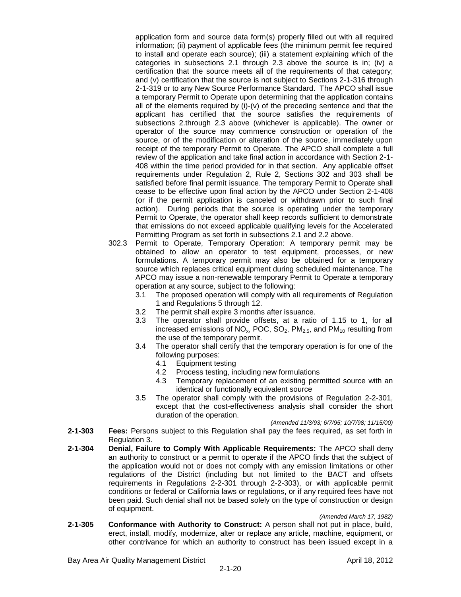application form and source data form(s) properly filled out with all required information; (ii) payment of applicable fees (the minimum permit fee required to install and operate each source); (iii) a statement explaining which of the categories in subsections 2.1 through 2.3 above the source is in; (iv) a certification that the source meets all of the requirements of that category; and (v) certification that the source is not subject to Sections 2-1-316 through 2-1-319 or to any New Source Performance Standard. The APCO shall issue a temporary Permit to Operate upon determining that the application contains all of the elements required by (i)-(v) of the preceding sentence and that the applicant has certified that the source satisfies the requirements of subsections 2.through 2.3 above (whichever is applicable). The owner or operator of the source may commence construction or operation of the source, or of the modification or alteration of the source, immediately upon receipt of the temporary Permit to Operate. The APCO shall complete a full review of the application and take final action in accordance with Section 2-1- 408 within the time period provided for in that section. Any applicable offset requirements under Regulation 2, Rule 2, Sections 302 and 303 shall be satisfied before final permit issuance. The temporary Permit to Operate shall cease to be effective upon final action by the APCO under Section 2-1-408 (or if the permit application is canceled or withdrawn prior to such final action). During periods that the source is operating under the temporary Permit to Operate, the operator shall keep records sufficient to demonstrate that emissions do not exceed applicable qualifying levels for the Accelerated Permitting Program as set forth in subsections 2.1 and 2.2 above.

- 302.3 Permit to Operate, Temporary Operation: A temporary permit may be obtained to allow an operator to test equipment, processes, or new formulations. A temporary permit may also be obtained for a temporary source which replaces critical equipment during scheduled maintenance. The APCO may issue a non-renewable temporary Permit to Operate a temporary operation at any source, subject to the following:
	- 3.1 The proposed operation will comply with all requirements of Regulation 1 and Regulations 5 through 12.
	- 3.2 The permit shall expire 3 months after issuance.
	- 3.3 The operator shall provide offsets, at a ratio of 1.15 to 1, for all increased emissions of  $NO_x$ , POC,  $SO_2$ , PM<sub>2.5</sub>, and PM<sub>10</sub> resulting from the use of the temporary permit.
	- 3.4 The operator shall certify that the temporary operation is for one of the following purposes:
		- 4.1 Equipment testing
		- 4.2 Process testing, including new formulations
		- 4.3 Temporary replacement of an existing permitted source with an identical or functionally equivalent source
	- 3.5 The operator shall comply with the provisions of Regulation 2-2-301, except that the cost-effectiveness analysis shall consider the short duration of the operation.

*(Amended 11/3/93; 6/7/95; 10/7/98; 11/15/00)*

- **2-1-303 Fees:** Persons subject to this Regulation shall pay the fees required, as set forth in Regulation 3.
- **2-1-304 Denial, Failure to Comply With Applicable Requirements:** The APCO shall deny an authority to construct or a permit to operate if the APCO finds that the subject of the application would not or does not comply with any emission limitations or other regulations of the District (including but not limited to the BACT and offsets requirements in Regulations 2-2-301 through 2-2-303), or with applicable permit conditions or federal or California laws or regulations, or if any required fees have not been paid. Such denial shall not be based solely on the type of construction or design of equipment.

*(Amended March 17, 1982)*

**2-1-305 Conformance with Authority to Construct:** A person shall not put in place, build, erect, install, modify, modernize, alter or replace any article, machine, equipment, or other contrivance for which an authority to construct has been issued except in a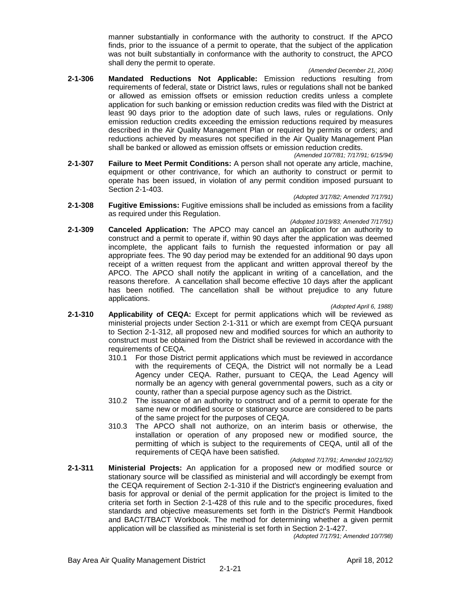manner substantially in conformance with the authority to construct. If the APCO finds, prior to the issuance of a permit to operate, that the subject of the application was not built substantially in conformance with the authority to construct, the APCO shall deny the permit to operate.

#### *(Amended December 21, 2004)*

- **2-1-306 Mandated Reductions Not Applicable:** Emission reductions resulting from requirements of federal, state or District laws, rules or regulations shall not be banked or allowed as emission offsets or emission reduction credits unless a complete application for such banking or emission reduction credits was filed with the District at least 90 days prior to the adoption date of such laws, rules or regulations. Only emission reduction credits exceeding the emission reductions required by measures described in the Air Quality Management Plan or required by permits or orders; and reductions achieved by measures not specified in the Air Quality Management Plan shall be banked or allowed as emission offsets or emission reduction credits. *(Amended 10/7/81; 7/17/91; 6/15/94)*
- **2-1-307 Failure to Meet Permit Conditions:** A person shall not operate any article, machine, equipment or other contrivance, for which an authority to construct or permit to operate has been issued, in violation of any permit condition imposed pursuant to Section 2-1-403.

*(Adopted 3/17/82; Amended 7/17/91)*

- **2-1-308 Fugitive Emissions:** Fugitive emissions shall be included as emissions from a facility as required under this Regulation.
- *(Adopted 10/19/83; Amended 7/17/91)* **2-1-309 Canceled Application:** The APCO may cancel an application for an authority to construct and a permit to operate if, within 90 days after the application was deemed incomplete, the applicant fails to furnish the requested information or pay all appropriate fees. The 90 day period may be extended for an additional 90 days upon receipt of a written request from the applicant and written approval thereof by the APCO. The APCO shall notify the applicant in writing of a cancellation, and the reasons therefore. A cancellation shall become effective 10 days after the applicant has been notified. The cancellation shall be without prejudice to any future applications.

*(Adopted April 6, 1988)*

- **2-1-310 Applicability of CEQA:** Except for permit applications which will be reviewed as ministerial projects under Section 2-1-311 or which are exempt from CEQA pursuant to Section 2-1-312, all proposed new and modified sources for which an authority to construct must be obtained from the District shall be reviewed in accordance with the requirements of CEQA.
	- 310.1 For those District permit applications which must be reviewed in accordance with the requirements of CEQA, the District will not normally be a Lead Agency under CEQA. Rather, pursuant to CEQA, the Lead Agency will normally be an agency with general governmental powers, such as a city or county, rather than a special purpose agency such as the District.
	- 310.2 The issuance of an authority to construct and of a permit to operate for the same new or modified source or stationary source are considered to be parts of the same project for the purposes of CEQA.
	- 310.3 The APCO shall not authorize, on an interim basis or otherwise, the installation or operation of any proposed new or modified source, the permitting of which is subject to the requirements of CEQA, until all of the requirements of CEQA have been satisfied.

#### *(Adopted 7/17/91; Amended 10/21/92)*

**2-1-311 Ministerial Projects:** An application for a proposed new or modified source or stationary source will be classified as ministerial and will accordingly be exempt from the CEQA requirement of Section 2-1-310 if the District's engineering evaluation and basis for approval or denial of the permit application for the project is limited to the criteria set forth in Section 2-1-428 of this rule and to the specific procedures, fixed standards and objective measurements set forth in the District's Permit Handbook and BACT/TBACT Workbook. The method for determining whether a given permit application will be classified as ministerial is set forth in Section 2-1-427.

*(Adopted 7/17/91; Amended 10/7/98)*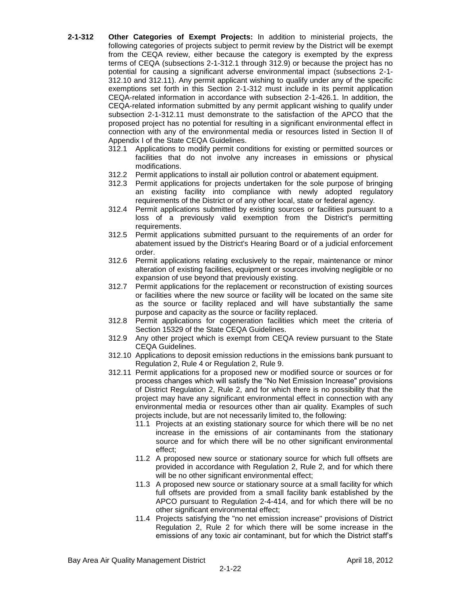- **2-1-312 Other Categories of Exempt Projects:** In addition to ministerial projects, the following categories of projects subject to permit review by the District will be exempt from the CEQA review, either because the category is exempted by the express terms of CEQA (subsections 2-1-312.1 through 312.9) or because the project has no potential for causing a significant adverse environmental impact (subsections 2-1- 312.10 and 312.11). Any permit applicant wishing to qualify under any of the specific exemptions set forth in this Section 2-1-312 must include in its permit application CEQA-related information in accordance with subsection 2-1-426.1. In addition, the CEQA-related information submitted by any permit applicant wishing to qualify under subsection 2-1-312.11 must demonstrate to the satisfaction of the APCO that the proposed project has no potential for resulting in a significant environmental effect in connection with any of the environmental media or resources listed in Section II of Appendix I of the State CEQA Guidelines.
	- 312.1 Applications to modify permit conditions for existing or permitted sources or facilities that do not involve any increases in emissions or physical modifications.
	- 312.2 Permit applications to install air pollution control or abatement equipment.
	- 312.3 Permit applications for projects undertaken for the sole purpose of bringing an existing facility into compliance with newly adopted regulatory requirements of the District or of any other local, state or federal agency.
	- 312.4 Permit applications submitted by existing sources or facilities pursuant to a loss of a previously valid exemption from the District's permitting requirements.
	- 312.5 Permit applications submitted pursuant to the requirements of an order for abatement issued by the District's Hearing Board or of a judicial enforcement order.
	- 312.6 Permit applications relating exclusively to the repair, maintenance or minor alteration of existing facilities, equipment or sources involving negligible or no expansion of use beyond that previously existing.
	- 312.7 Permit applications for the replacement or reconstruction of existing sources or facilities where the new source or facility will be located on the same site as the source or facility replaced and will have substantially the same purpose and capacity as the source or facility replaced.
	- 312.8 Permit applications for cogeneration facilities which meet the criteria of Section 15329 of the State CEQA Guidelines.
	- 312.9 Any other project which is exempt from CEQA review pursuant to the State CEQA Guidelines.
	- 312.10 Applications to deposit emission reductions in the emissions bank pursuant to Regulation 2, Rule 4 or Regulation 2, Rule 9.
	- 312.11 Permit applications for a proposed new or modified source or sources or for process changes which will satisfy the "No Net Emission Increase" provisions of District Regulation 2, Rule 2, and for which there is no possibility that the project may have any significant environmental effect in connection with any environmental media or resources other than air quality. Examples of such projects include, but are not necessarily limited to, the following:
		- 11.1 Projects at an existing stationary source for which there will be no net increase in the emissions of air contaminants from the stationary source and for which there will be no other significant environmental effect;
		- 11.2 A proposed new source or stationary source for which full offsets are provided in accordance with Regulation 2, Rule 2, and for which there will be no other significant environmental effect;
		- 11.3 A proposed new source or stationary source at a small facility for which full offsets are provided from a small facility bank established by the APCO pursuant to Regulation 2-4-414, and for which there will be no other significant environmental effect;
		- 11.4 Projects satisfying the "no net emission increase" provisions of District Regulation 2, Rule 2 for which there will be some increase in the emissions of any toxic air contaminant, but for which the District staff's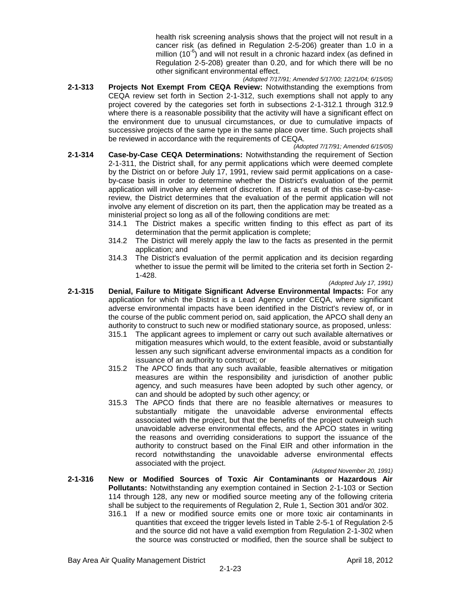health risk screening analysis shows that the project will not result in a cancer risk (as defined in Regulation 2-5-206) greater than 1.0 in a million (10 $^6$ ) and will not result in a chronic hazard index (as defined in Regulation 2-5-208) greater than 0.20, and for which there will be no other significant environmental effect.

- *(Adopted 7/17/91; Amended 5/17/00; 12/21/04; 6/15/05)* **2-1-313 Projects Not Exempt From CEQA Review:** Notwithstanding the exemptions from CEQA review set forth in Section 2-1-312, such exemptions shall not apply to any project covered by the categories set forth in subsections 2-1-312.1 through 312.9 where there is a reasonable possibility that the activity will have a significant effect on the environment due to unusual circumstances, or due to cumulative impacts of successive projects of the same type in the same place over time. Such projects shall be reviewed in accordance with the requirements of CEQA.
- *(Adopted 7/17/91; Amended 6/15/05)* **2-1-314 Case-by-Case CEQA Determinations:** Notwithstanding the requirement of Section 2-1-311, the District shall, for any permit applications which were deemed complete by the District on or before July 17, 1991, review said permit applications on a caseby-case basis in order to determine whether the District's evaluation of the permit application will involve any element of discretion. If as a result of this case-by-casereview, the District determines that the evaluation of the permit application will not involve any element of discretion on its part, then the application may be treated as a ministerial project so long as all of the following conditions are met:
	- 314.1 The District makes a specific written finding to this effect as part of its determination that the permit application is complete;
	- 314.2 The District will merely apply the law to the facts as presented in the permit application; and
	- 314.3 The District's evaluation of the permit application and its decision regarding whether to issue the permit will be limited to the criteria set forth in Section 2- 1-428.

*(Adopted July 17, 1991)*

- **2-1-315 Denial, Failure to Mitigate Significant Adverse Environmental Impacts:** For any application for which the District is a Lead Agency under CEQA, where significant adverse environmental impacts have been identified in the District's review of, or in the course of the public comment period on, said application, the APCO shall deny an authority to construct to such new or modified stationary source, as proposed, unless:
	- 315.1 The applicant agrees to implement or carry out such available alternatives or mitigation measures which would, to the extent feasible, avoid or substantially lessen any such significant adverse environmental impacts as a condition for issuance of an authority to construct; or
	- 315.2 The APCO finds that any such available, feasible alternatives or mitigation measures are within the responsibility and jurisdiction of another public agency, and such measures have been adopted by such other agency, or can and should be adopted by such other agency; or
	- 315.3 The APCO finds that there are no feasible alternatives or measures to substantially mitigate the unavoidable adverse environmental effects associated with the project, but that the benefits of the project outweigh such unavoidable adverse environmental effects, and the APCO states in writing the reasons and overriding considerations to support the issuance of the authority to construct based on the Final EIR and other information in the record notwithstanding the unavoidable adverse environmental effects associated with the project.

#### *(Adopted November 20, 1991)*

- **2-1-316 New or Modified Sources of Toxic Air Contaminants or Hazardous Air Pollutants:** Notwithstanding any exemption contained in Section 2-1-103 or Section 114 through 128, any new or modified source meeting any of the following criteria shall be subject to the requirements of Regulation 2, Rule 1, Section 301 and/or 302.
	- 316.1 If a new or modified source emits one or more toxic air contaminants in quantities that exceed the trigger levels listed in Table 2-5-1 of Regulation 2-5 and the source did not have a valid exemption from Regulation 2-1-302 when the source was constructed or modified, then the source shall be subject to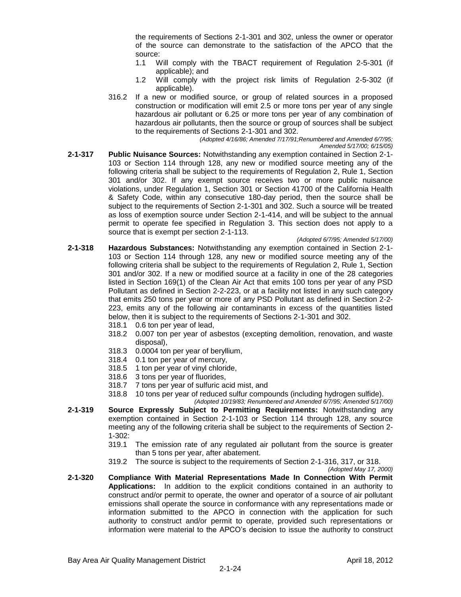the requirements of Sections 2-1-301 and 302, unless the owner or operator of the source can demonstrate to the satisfaction of the APCO that the source:

- 1.1 Will comply with the TBACT requirement of Regulation 2-5-301 (if applicable); and
- 1.2 Will comply with the project risk limits of Regulation 2-5-302 (if applicable).
- 316.2 If a new or modified source, or group of related sources in a proposed construction or modification will emit 2.5 or more tons per year of any single hazardous air pollutant or 6.25 or more tons per year of any combination of hazardous air pollutants, then the source or group of sources shall be subject to the requirements of Sections 2-1-301 and 302.

*(Adopted 4/16/86; Amended 7/17/91;Renumbered and Amended 6/7/95;*

- *Amended 5/17/00; 6/15/05)*
- **2-1-317 Public Nuisance Sources:** Notwithstanding any exemption contained in Section 2-1- 103 or Section 114 through 128, any new or modified source meeting any of the following criteria shall be subject to the requirements of Regulation 2, Rule 1, Section 301 and/or 302. If any exempt source receives two or more public nuisance violations, under Regulation 1, Section 301 or Section 41700 of the California Health & Safety Code, within any consecutive 180-day period, then the source shall be subject to the requirements of Section 2-1-301 and 302. Such a source will be treated as loss of exemption source under Section 2-1-414, and will be subject to the annual permit to operate fee specified in Regulation 3. This section does not apply to a source that is exempt per section 2-1-113.

*(Adopted 6/7/95; Amended 5/17/00)*

- **2-1-318 Hazardous Substances:** Notwithstanding any exemption contained in Section 2-1- 103 or Section 114 through 128, any new or modified source meeting any of the following criteria shall be subject to the requirements of Regulation 2, Rule 1, Section 301 and/or 302. If a new or modified source at a facility in one of the 28 categories listed in Section 169(1) of the Clean Air Act that emits 100 tons per year of any PSD Pollutant as defined in Section 2-2-223, or at a facility not listed in any such category that emits 250 tons per year or more of any PSD Pollutant as defined in Section 2-2- 223, emits any of the following air contaminants in excess of the quantities listed below, then it is subject to the requirements of Sections 2-1-301 and 302.
	- 318.1 0.6 ton per year of lead,
	- 318.2 0.007 ton per year of asbestos (excepting demolition, renovation, and waste disposal),
	- 318.3 0.0004 ton per year of beryllium,
	- 318.4 0.1 ton per year of mercury,
	- 318.5 1 ton per year of vinyl chloride,
	- 318.6 3 tons per year of fluorides,
	- 318.7 7 tons per year of sulfuric acid mist, and
	- 318.8 10 tons per year of reduced sulfur compounds (including hydrogen sulfide).
		- *(Adopted 10/19/83; Renumbered and Amended 6/7/95; Amended 5/17/00)*
- **2-1-319 Source Expressly Subject to Permitting Requirements:** Notwithstanding any exemption contained in Section 2-1-103 or Section 114 through 128, any source meeting any of the following criteria shall be subject to the requirements of Section 2- 1-302:
	- 319.1 The emission rate of any regulated air pollutant from the source is greater than 5 tons per year, after abatement.
	- 319.2 The source is subject to the requirements of Section 2-1-316, 317, or 318.
- *(Adopted May 17, 2000)* **2-1-320 Compliance With Material Representations Made In Connection With Permit Applications:** In addition to the explicit conditions contained in an authority to construct and/or permit to operate, the owner and operator of a source of air pollutant emissions shall operate the source in conformance with any representations made or information submitted to the APCO in connection with the application for such authority to construct and/or permit to operate, provided such representations or information were material to the APCO's decision to issue the authority to construct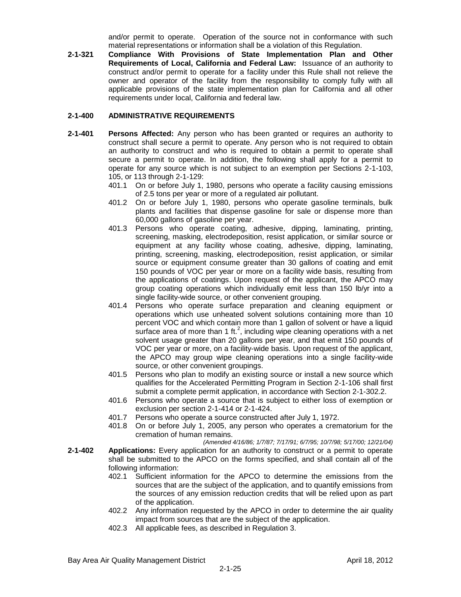and/or permit to operate. Operation of the source not in conformance with such material representations or information shall be a violation of this Regulation.

**2-1-321 Compliance With Provisions of State Implementation Plan and Other Requirements of Local, California and Federal Law:** Issuance of an authority to construct and/or permit to operate for a facility under this Rule shall not relieve the owner and operator of the facility from the responsibility to comply fully with all applicable provisions of the state implementation plan for California and all other requirements under local, California and federal law.

#### **2-1-400 ADMINISTRATIVE REQUIREMENTS**

- **2-1-401 Persons Affected:** Any person who has been granted or requires an authority to construct shall secure a permit to operate. Any person who is not required to obtain an authority to construct and who is required to obtain a permit to operate shall secure a permit to operate. In addition, the following shall apply for a permit to operate for any source which is not subject to an exemption per Sections 2-1-103, 105, or 113 through 2-1-129:
	- 401.1 On or before July 1, 1980, persons who operate a facility causing emissions of 2.5 tons per year or more of a regulated air pollutant.
	- 401.2 On or before July 1, 1980, persons who operate gasoline terminals, bulk plants and facilities that dispense gasoline for sale or dispense more than 60,000 gallons of gasoline per year.
	- 401.3 Persons who operate coating, adhesive, dipping, laminating, printing, screening, masking, electrodeposition, resist application, or similar source or equipment at any facility whose coating, adhesive, dipping, laminating, printing, screening, masking, electrodeposition, resist application, or similar source or equipment consume greater than 30 gallons of coating and emit 150 pounds of VOC per year or more on a facility wide basis, resulting from the applications of coatings. Upon request of the applicant, the APCO may group coating operations which individually emit less than 150 lb/yr into a single facility-wide source, or other convenient grouping.
	- 401.4 Persons who operate surface preparation and cleaning equipment or operations which use unheated solvent solutions containing more than 10 percent VOC and which contain more than 1 gallon of solvent or have a liquid surface area of more than 1 ft.<sup>2</sup>, including wipe cleaning operations with a net solvent usage greater than 20 gallons per year, and that emit 150 pounds of VOC per year or more, on a facility-wide basis. Upon request of the applicant, the APCO may group wipe cleaning operations into a single facility-wide source, or other convenient groupings.
	- 401.5 Persons who plan to modify an existing source or install a new source which qualifies for the Accelerated Permitting Program in Section 2-1-106 shall first submit a complete permit application, in accordance with Section 2-1-302.2.
	- 401.6 Persons who operate a source that is subject to either loss of exemption or exclusion per section 2-1-414 or 2-1-424.
	- 401.7 Persons who operate a source constructed after July 1, 1972.
	- 401.8 On or before July 1, 2005, any person who operates a crematorium for the cremation of human remains.

*(Amended 4/16/86; 1/7/87; 7/17/91; 6/7/95; 10/7/98; 5/17/00; 12/21/04)*

- **2-1-402 Applications:** Every application for an authority to construct or a permit to operate shall be submitted to the APCO on the forms specified, and shall contain all of the following information:
	- 402.1 Sufficient information for the APCO to determine the emissions from the sources that are the subject of the application, and to quantify emissions from the sources of any emission reduction credits that will be relied upon as part of the application.
	- 402.2 Any information requested by the APCO in order to determine the air quality impact from sources that are the subject of the application.
	- 402.3 All applicable fees, as described in Regulation 3.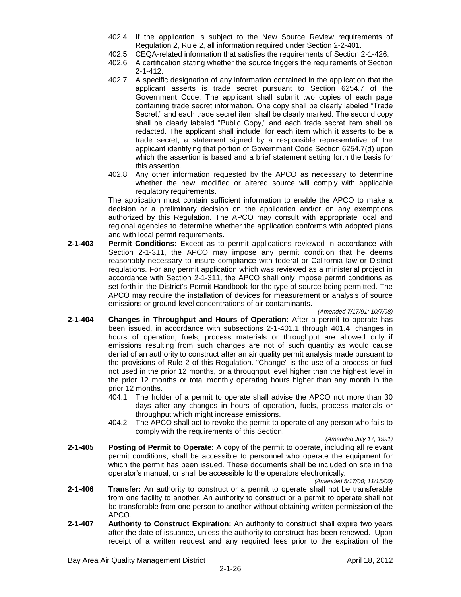- 402.4 If the application is subject to the New Source Review requirements of Regulation 2, Rule 2, all information required under Section 2-2-401.
- 402.5 CEQA-related information that satisfies the requirements of Section 2-1-426.
- 402.6 A certification stating whether the source triggers the requirements of Section 2-1-412.
- 402.7 A specific designation of any information contained in the application that the applicant asserts is trade secret pursuant to Section 6254.7 of the Government Code. The applicant shall submit two copies of each page containing trade secret information. One copy shall be clearly labeled "Trade Secret," and each trade secret item shall be clearly marked. The second copy shall be clearly labeled "Public Copy," and each trade secret item shall be redacted. The applicant shall include, for each item which it asserts to be a trade secret, a statement signed by a responsible representative of the applicant identifying that portion of Government Code Section 6254.7(d) upon which the assertion is based and a brief statement setting forth the basis for this assertion.
- 402.8 Any other information requested by the APCO as necessary to determine whether the new, modified or altered source will comply with applicable regulatory requirements.

The application must contain sufficient information to enable the APCO to make a decision or a preliminary decision on the application and/or on any exemptions authorized by this Regulation. The APCO may consult with appropriate local and regional agencies to determine whether the application conforms with adopted plans and with local permit requirements.

**2-1-403 Permit Conditions:** Except as to permit applications reviewed in accordance with Section 2-1-311, the APCO may impose any permit condition that he deems reasonably necessary to insure compliance with federal or California law or District regulations. For any permit application which was reviewed as a ministerial project in accordance with Section 2-1-311, the APCO shall only impose permit conditions as set forth in the District's Permit Handbook for the type of source being permitted. The APCO may require the installation of devices for measurement or analysis of source emissions or ground-level concentrations of air contaminants.

*(Amended 7/17/91; 10/7/98)*

- **2-1-404 Changes in Throughput and Hours of Operation:** After a permit to operate has been issued, in accordance with subsections 2-1-401.1 through 401.4, changes in hours of operation, fuels, process materials or throughput are allowed only if emissions resulting from such changes are not of such quantity as would cause denial of an authority to construct after an air quality permit analysis made pursuant to the provisions of Rule 2 of this Regulation. "Change" is the use of a process or fuel not used in the prior 12 months, or a throughput level higher than the highest level in the prior 12 months or total monthly operating hours higher than any month in the prior 12 months.
	- 404.1 The holder of a permit to operate shall advise the APCO not more than 30 days after any changes in hours of operation, fuels, process materials or throughput which might increase emissions.
	- 404.2 The APCO shall act to revoke the permit to operate of any person who fails to comply with the requirements of this Section.

*(Amended July 17, 1991)*

**2-1-405 Posting of Permit to Operate:** A copy of the permit to operate, including all relevant permit conditions, shall be accessible to personnel who operate the equipment for which the permit has been issued. These documents shall be included on site in the operator's manual, or shall be accessible to the operators electronically.

*(Amended 5/17/00; 11/15/00)*

- **2-1-406 Transfer:** An authority to construct or a permit to operate shall not be transferable from one facility to another. An authority to construct or a permit to operate shall not be transferable from one person to another without obtaining written permission of the APCO.
- **2-1-407 Authority to Construct Expiration:** An authority to construct shall expire two years after the date of issuance, unless the authority to construct has been renewed. Upon receipt of a written request and any required fees prior to the expiration of the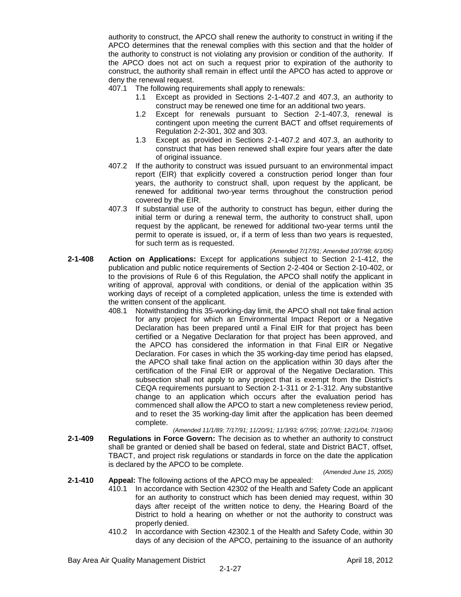authority to construct, the APCO shall renew the authority to construct in writing if the APCO determines that the renewal complies with this section and that the holder of the authority to construct is not violating any provision or condition of the authority. If the APCO does not act on such a request prior to expiration of the authority to construct, the authority shall remain in effect until the APCO has acted to approve or deny the renewal request.

- 407.1 The following requirements shall apply to renewals:
	- 1.1 Except as provided in Sections 2-1-407.2 and 407.3, an authority to construct may be renewed one time for an additional two years.
	- 1.2 Except for renewals pursuant to Section 2-1-407.3, renewal is contingent upon meeting the current BACT and offset requirements of Regulation 2-2-301, 302 and 303.
	- 1.3 Except as provided in Sections 2-1-407.2 and 407.3, an authority to construct that has been renewed shall expire four years after the date of original issuance.
- 407.2 If the authority to construct was issued pursuant to an environmental impact report (EIR) that explicitly covered a construction period longer than four years, the authority to construct shall, upon request by the applicant, be renewed for additional two-year terms throughout the construction period covered by the EIR.
- 407.3 If substantial use of the authority to construct has begun, either during the initial term or during a renewal term, the authority to construct shall, upon request by the applicant, be renewed for additional two-year terms until the permit to operate is issued, or, if a term of less than two years is requested, for such term as is requested.

*(Amended 7/17/91; Amended 10/7/98; 6/1/05)*

- **2-1-408 Action on Applications:** Except for applications subject to Section 2-1-412, the publication and public notice requirements of Section 2-2-404 or Section 2-10-402, or to the provisions of Rule 6 of this Regulation, the APCO shall notify the applicant in writing of approval, approval with conditions, or denial of the application within 35 working days of receipt of a completed application, unless the time is extended with the written consent of the applicant.
	- 408.1 Notwithstanding this 35-working-day limit, the APCO shall not take final action for any project for which an Environmental Impact Report or a Negative Declaration has been prepared until a Final EIR for that project has been certified or a Negative Declaration for that project has been approved, and the APCO has considered the information in that Final EIR or Negative Declaration. For cases in which the 35 working-day time period has elapsed, the APCO shall take final action on the application within 30 days after the certification of the Final EIR or approval of the Negative Declaration. This subsection shall not apply to any project that is exempt from the District's CEQA requirements pursuant to Section 2-1-311 or 2-1-312. Any substantive change to an application which occurs after the evaluation period has commenced shall allow the APCO to start a new completeness review period, and to reset the 35 working-day limit after the application has been deemed complete.
- *(Amended 11/1/89; 7/17/91; 11/20/91; 11/3/93; 6/7/95; 10/7/98; 12/21/04; 7/19/06)* **2-1-409 Regulations in Force Govern:** The decision as to whether an authority to construct shall be granted or denied shall be based on federal, state and District BACT, offset, TBACT, and project risk regulations or standards in force on the date the application is declared by the APCO to be complete.

*(Amended June 15, 2005)*

## **2-1-410 Appeal:** The following actions of the APCO may be appealed:

- 410.1 In accordance with Section 42302 of the Health and Safety Code an applicant for an authority to construct which has been denied may request, within 30 days after receipt of the written notice to deny, the Hearing Board of the District to hold a hearing on whether or not the authority to construct was properly denied.
- 410.2 In accordance with Section 42302.1 of the Health and Safety Code, within 30 days of any decision of the APCO, pertaining to the issuance of an authority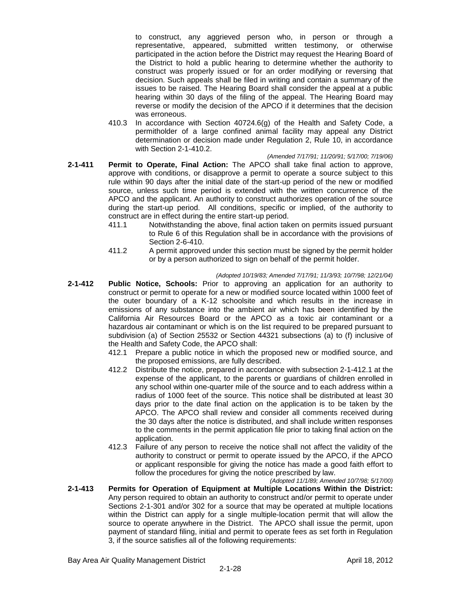to construct, any aggrieved person who, in person or through a representative, appeared, submitted written testimony, or otherwise participated in the action before the District may request the Hearing Board of the District to hold a public hearing to determine whether the authority to construct was properly issued or for an order modifying or reversing that decision. Such appeals shall be filed in writing and contain a summary of the issues to be raised. The Hearing Board shall consider the appeal at a public hearing within 30 days of the filing of the appeal. The Hearing Board may reverse or modify the decision of the APCO if it determines that the decision was erroneous.

410.3 In accordance with Section 40724.6(g) of the Health and Safety Code, a permitholder of a large confined animal facility may appeal any District determination or decision made under Regulation 2, Rule 10, in accordance with Section 2-1-410.2.

#### *(Amended 7/17/91; 11/20/91; 5/17/00; 7/19/06)*

- **2-1-411 Permit to Operate, Final Action:** The APCO shall take final action to approve, approve with conditions, or disapprove a permit to operate a source subject to this rule within 90 days after the initial date of the start-up period of the new or modified source, unless such time period is extended with the written concurrence of the APCO and the applicant. An authority to construct authorizes operation of the source during the start-up period. All conditions, specific or implied, of the authority to construct are in effect during the entire start-up period.
	- 411.1 Notwithstanding the above, final action taken on permits issued pursuant to Rule 6 of this Regulation shall be in accordance with the provisions of Section 2-6-410.
	- 411.2 A permit approved under this section must be signed by the permit holder or by a person authorized to sign on behalf of the permit holder.

#### *(Adopted 10/19/83; Amended 7/17/91; 11/3/93; 10/7/98; 12/21/04)*

- **2-1-412 Public Notice, Schools:** Prior to approving an application for an authority to construct or permit to operate for a new or modified source located within 1000 feet of the outer boundary of a K-12 schoolsite and which results in the increase in emissions of any substance into the ambient air which has been identified by the California Air Resources Board or the APCO as a toxic air contaminant or a hazardous air contaminant or which is on the list required to be prepared pursuant to subdivision (a) of Section 25532 or Section 44321 subsections (a) to (f) inclusive of the Health and Safety Code, the APCO shall:
	- 412.1 Prepare a public notice in which the proposed new or modified source, and the proposed emissions, are fully described.
	- 412.2 Distribute the notice, prepared in accordance with subsection 2-1-412.1 at the expense of the applicant, to the parents or guardians of children enrolled in any school within one-quarter mile of the source and to each address within a radius of 1000 feet of the source. This notice shall be distributed at least 30 days prior to the date final action on the application is to be taken by the APCO. The APCO shall review and consider all comments received during the 30 days after the notice is distributed, and shall include written responses to the comments in the permit application file prior to taking final action on the application.
	- 412.3 Failure of any person to receive the notice shall not affect the validity of the authority to construct or permit to operate issued by the APCO, if the APCO or applicant responsible for giving the notice has made a good faith effort to follow the procedures for giving the notice prescribed by law.

*(Adopted 11/1/89; Amended 10/7/98; 5/17/00)*

**2-1-413 Permits for Operation of Equipment at Multiple Locations Within the District:** Any person required to obtain an authority to construct and/or permit to operate under Sections 2-1-301 and/or 302 for a source that may be operated at multiple locations within the District can apply for a single multiple-location permit that will allow the source to operate anywhere in the District. The APCO shall issue the permit, upon payment of standard filing, initial and permit to operate fees as set forth in Regulation 3, if the source satisfies all of the following requirements: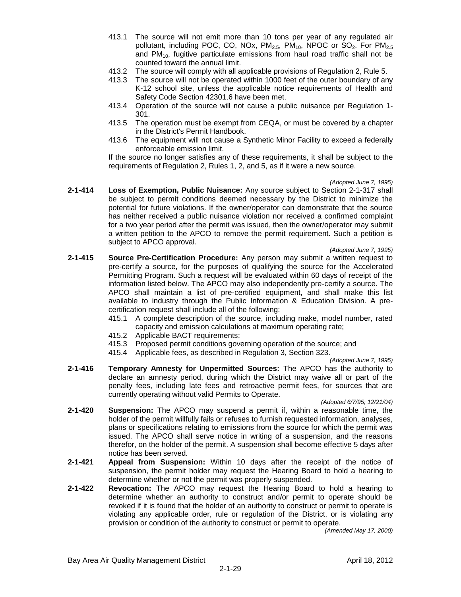- 413.1 The source will not emit more than 10 tons per year of any regulated air pollutant, including POC, CO, NOx,  $PM_{2.5}$ ,  $PM_{10}$ , NPOC or SO<sub>2</sub>. For  $PM_{2.5}$ and  $PM_{10}$ , fugitive particulate emissions from haul road traffic shall not be counted toward the annual limit.
- 413.2 The source will comply with all applicable provisions of Regulation 2, Rule 5.
- 413.3 The source will not be operated within 1000 feet of the outer boundary of any K-12 school site, unless the applicable notice requirements of Health and Safety Code Section 42301.6 have been met.
- 413.4 Operation of the source will not cause a public nuisance per Regulation 1- 301.
- 413.5 The operation must be exempt from CEQA, or must be covered by a chapter in the District's Permit Handbook.
- 413.6 The equipment will not cause a Synthetic Minor Facility to exceed a federally enforceable emission limit.

If the source no longer satisfies any of these requirements, it shall be subject to the requirements of Regulation 2, Rules 1, 2, and 5, as if it were a new source.

*(Adopted June 7, 1995)*

**2-1-414 Loss of Exemption, Public Nuisance:** Any source subject to Section 2-1-317 shall be subject to permit conditions deemed necessary by the District to minimize the potential for future violations. If the owner/operator can demonstrate that the source has neither received a public nuisance violation nor received a confirmed complaint for a two year period after the permit was issued, then the owner/operator may submit a written petition to the APCO to remove the permit requirement. Such a petition is subject to APCO approval.

*(Adopted June 7, 1995)*

- **2-1-415 Source Pre-Certification Procedure:** Any person may submit a written request to pre-certify a source, for the purposes of qualifying the source for the Accelerated Permitting Program. Such a request will be evaluated within 60 days of receipt of the information listed below. The APCO may also independently pre-certify a source. The APCO shall maintain a list of pre-certified equipment, and shall make this list available to industry through the Public Information & Education Division. A precertification request shall include all of the following:
	- 415.1 A complete description of the source, including make, model number, rated capacity and emission calculations at maximum operating rate;
	- 415.2 Applicable BACT requirements;
	- 415.3 Proposed permit conditions governing operation of the source; and
	- 415.4 Applicable fees, as described in Regulation 3, Section 323.

*(Adopted June 7, 1995)*

**2-1-416 Temporary Amnesty for Unpermitted Sources:** The APCO has the authority to declare an amnesty period, during which the District may waive all or part of the penalty fees, including late fees and retroactive permit fees, for sources that are currently operating without valid Permits to Operate.

*(Adopted 6/7/95; 12/21/04)*

- **2-1-420 Suspension:** The APCO may suspend a permit if, within a reasonable time, the holder of the permit willfully fails or refuses to furnish requested information, analyses, plans or specifications relating to emissions from the source for which the permit was issued. The APCO shall serve notice in writing of a suspension, and the reasons therefor, on the holder of the permit. A suspension shall become effective 5 days after notice has been served.
- **2-1-421 Appeal from Suspension:** Within 10 days after the receipt of the notice of suspension, the permit holder may request the Hearing Board to hold a hearing to determine whether or not the permit was properly suspended.
- **2-1-422 Revocation:** The APCO may request the Hearing Board to hold a hearing to determine whether an authority to construct and/or permit to operate should be revoked if it is found that the holder of an authority to construct or permit to operate is violating any applicable order, rule or regulation of the District, or is violating any provision or condition of the authority to construct or permit to operate.

*(Amended May 17, 2000)*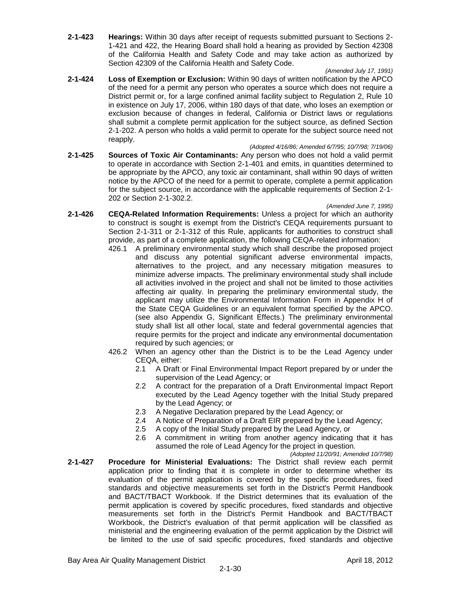**2-1-423 Hearings:** Within 30 days after receipt of requests submitted pursuant to Sections 2- 1-421 and 422, the Hearing Board shall hold a hearing as provided by Section 42308 of the California Health and Safety Code and may take action as authorized by Section 42309 of the California Health and Safety Code.

## *(Amended July 17, 1991)*

- **2-1-424 Loss of Exemption or Exclusion:** Within 90 days of written notification by the APCO of the need for a permit any person who operates a source which does not require a District permit or, for a large confined animal facility subject to Regulation 2, Rule 10 in existence on July 17, 2006, within 180 days of that date, who loses an exemption or exclusion because of changes in federal, California or District laws or regulations shall submit a complete permit application for the subject source, as defined Section 2-1-202. A person who holds a valid permit to operate for the subject source need not reapply.
- *(Adopted 4/16/86; Amended 6/7/95; 10/7/98; 7/19/06)* **2-1-425 Sources of Toxic Air Contaminants:** Any person who does not hold a valid permit to operate in accordance with Section 2-1-401 and emits, in quantities determined to be appropriate by the APCO, any toxic air contaminant, shall within 90 days of written notice by the APCO of the need for a permit to operate, complete a permit application for the subject source, in accordance with the applicable requirements of Section 2-1- 202 or Section 2-1-302.2.

#### *(Amended June 7, 1995)*

- **2-1-426 CEQA-Related Information Requirements:** Unless a project for which an authority to construct is sought is exempt from the District's CEQA requirements pursuant to Section 2-1-311 or 2-1-312 of this Rule, applicants for authorities to construct shall provide, as part of a complete application, the following CEQA-related information:
	- 426.1 A preliminary environmental study which shall describe the proposed project and discuss any potential significant adverse environmental impacts, alternatives to the project, and any necessary mitigation measures to minimize adverse impacts. The preliminary environmental study shall include all activities involved in the project and shall not be limited to those activities affecting air quality. In preparing the preliminary environmental study, the applicant may utilize the Environmental Information Form in Appendix H of the State CEQA Guidelines or an equivalent format specified by the APCO. (see also Appendix G, Significant Effects.) The preliminary environmental study shall list all other local, state and federal governmental agencies that require permits for the project and indicate any environmental documentation required by such agencies; or
	- 426.2 When an agency other than the District is to be the Lead Agency under CEQA, either:
		- 2.1 A Draft or Final Environmental Impact Report prepared by or under the supervision of the Lead Agency; or
		- 2.2 A contract for the preparation of a Draft Environmental Impact Report executed by the Lead Agency together with the Initial Study prepared by the Lead Agency; or
		- 2.3 A Negative Declaration prepared by the Lead Agency; or
		- 2.4 A Notice of Preparation of a Draft EIR prepared by the Lead Agency;
		- 2.5 A copy of the Initial Study prepared by the Lead Agency, or
		- 2.6 A commitment in writing from another agency indicating that it has assumed the role of Lead Agency for the project in question.

*(Adopted 11/20/91; Amended 10/7/98)*

**2-1-427 Procedure for Ministerial Evaluations:** The District shall review each permit application prior to finding that it is complete in order to determine whether its evaluation of the permit application is covered by the specific procedures, fixed standards and objective measurements set forth in the District's Permit Handbook and BACT/TBACT Workbook. If the District determines that its evaluation of the permit application is covered by specific procedures, fixed standards and objective measurements set forth in the District's Permit Handbook and BACT/TBACT Workbook, the District's evaluation of that permit application will be classified as ministerial and the engineering evaluation of the permit application by the District will be limited to the use of said specific procedures, fixed standards and objective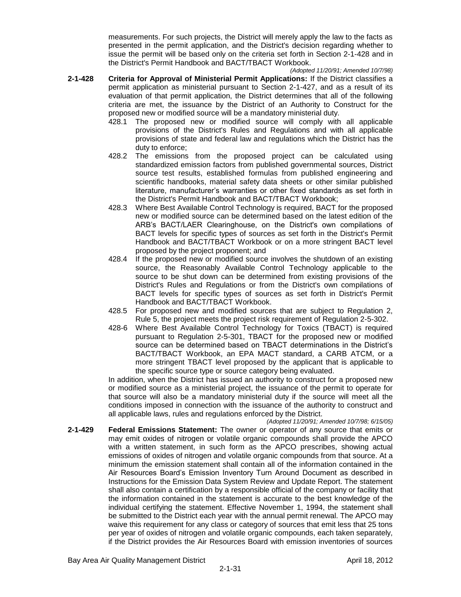measurements. For such projects, the District will merely apply the law to the facts as presented in the permit application, and the District's decision regarding whether to issue the permit will be based only on the criteria set forth in Section 2-1-428 and in the District's Permit Handbook and BACT/TBACT Workbook.

- *(Adopted 11/20/91; Amended 10/7/98)* **2-1-428 Criteria for Approval of Ministerial Permit Applications:** If the District classifies a permit application as ministerial pursuant to Section 2-1-427, and as a result of its evaluation of that permit application, the District determines that all of the following criteria are met, the issuance by the District of an Authority to Construct for the proposed new or modified source will be a mandatory ministerial duty.
	- 428.1 The proposed new or modified source will comply with all applicable provisions of the District's Rules and Regulations and with all applicable provisions of state and federal law and regulations which the District has the duty to enforce;
	- 428.2 The emissions from the proposed project can be calculated using standardized emission factors from published governmental sources, District source test results, established formulas from published engineering and scientific handbooks, material safety data sheets or other similar published literature, manufacturer's warranties or other fixed standards as set forth in the District's Permit Handbook and BACT/TBACT Workbook;
	- 428.3 Where Best Available Control Technology is required, BACT for the proposed new or modified source can be determined based on the latest edition of the ARB's BACT/LAER Clearinghouse, on the District's own compilations of BACT levels for specific types of sources as set forth in the District's Permit Handbook and BACT/TBACT Workbook or on a more stringent BACT level proposed by the project proponent; and
	- 428.4 If the proposed new or modified source involves the shutdown of an existing source, the Reasonably Available Control Technology applicable to the source to be shut down can be determined from existing provisions of the District's Rules and Regulations or from the District's own compilations of BACT levels for specific types of sources as set forth in District's Permit Handbook and BACT/TBACT Workbook.
	- 428.5 For proposed new and modified sources that are subject to Regulation 2, Rule 5, the project meets the project risk requirement of Regulation 2-5-302.
	- 428-6 Where Best Available Control Technology for Toxics (TBACT) is required pursuant to Regulation 2-5-301, TBACT for the proposed new or modified source can be determined based on TBACT determinations in the District's BACT/TBACT Workbook, an EPA MACT standard, a CARB ATCM, or a more stringent TBACT level proposed by the applicant that is applicable to the specific source type or source category being evaluated.

In addition, when the District has issued an authority to construct for a proposed new or modified source as a ministerial project, the issuance of the permit to operate for that source will also be a mandatory ministerial duty if the source will meet all the conditions imposed in connection with the issuance of the authority to construct and all applicable laws, rules and regulations enforced by the District.

*(Adopted 11/20/91; Amended 10/7/98; 6/15/05)* **2-1-429 Federal Emissions Statement:** The owner or operator of any source that emits or may emit oxides of nitrogen or volatile organic compounds shall provide the APCO with a written statement, in such form as the APCO prescribes, showing actual emissions of oxides of nitrogen and volatile organic compounds from that source. At a minimum the emission statement shall contain all of the information contained in the Air Resources Board's Emission Inventory Turn Around Document as described in Instructions for the Emission Data System Review and Update Report. The statement shall also contain a certification by a responsible official of the company or facility that the information contained in the statement is accurate to the best knowledge of the individual certifying the statement. Effective November 1, 1994, the statement shall be submitted to the District each year with the annual permit renewal. The APCO may waive this requirement for any class or category of sources that emit less that 25 tons per year of oxides of nitrogen and volatile organic compounds, each taken separately, if the District provides the Air Resources Board with emission inventories of sources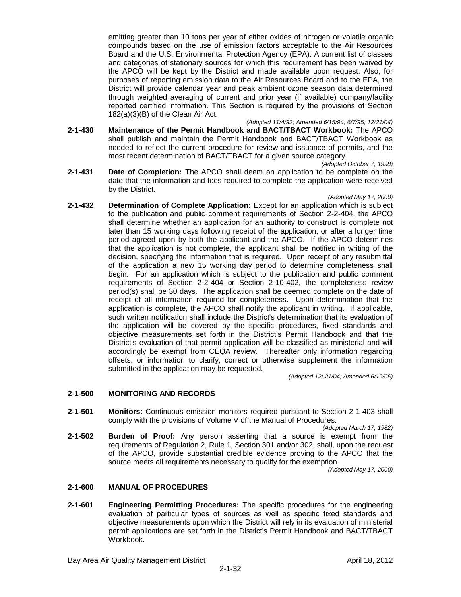emitting greater than 10 tons per year of either oxides of nitrogen or volatile organic compounds based on the use of emission factors acceptable to the Air Resources Board and the U.S. Environmental Protection Agency (EPA). A current list of classes and categories of stationary sources for which this requirement has been waived by the APCO will be kept by the District and made available upon request. Also, for purposes of reporting emission data to the Air Resources Board and to the EPA, the District will provide calendar year and peak ambient ozone season data determined through weighted averaging of current and prior year (if available) company/facility reported certified information. This Section is required by the provisions of Section 182(a)(3)(B) of the Clean Air Act.

- *(Adopted 11/4/92; Amended 6/15/94; 6/7/95; 12/21/04)* **2-1-430 Maintenance of the Permit Handbook and BACT/TBACT Workbook:** The APCO shall publish and maintain the Permit Handbook and BACT/TBACT Workbook as needed to reflect the current procedure for review and issuance of permits, and the most recent determination of BACT/TBACT for a given source category.
- *(Adopted October 7, 1998)* **2-1-431 Date of Completion:** The APCO shall deem an application to be complete on the date that the information and fees required to complete the application were received by the District.

#### *(Adopted May 17, 2000)*

**2-1-432 Determination of Complete Application:** Except for an application which is subject to the publication and public comment requirements of Section 2-2-404, the APCO shall determine whether an application for an authority to construct is complete not later than 15 working days following receipt of the application, or after a longer time period agreed upon by both the applicant and the APCO. If the APCO determines that the application is not complete, the applicant shall be notified in writing of the decision, specifying the information that is required. Upon receipt of any resubmittal of the application a new 15 working day period to determine completeness shall begin. For an application which is subject to the publication and public comment requirements of Section 2-2-404 or Section 2-10-402, the completeness review period(s) shall be 30 days. The application shall be deemed complete on the date of receipt of all information required for completeness. Upon determination that the application is complete, the APCO shall notify the applicant in writing. If applicable, such written notification shall include the District's determination that its evaluation of the application will be covered by the specific procedures, fixed standards and objective measurements set forth in the District's Permit Handbook and that the District's evaluation of that permit application will be classified as ministerial and will accordingly be exempt from CEQA review. Thereafter only information regarding offsets, or information to clarify, correct or otherwise supplement the information submitted in the application may be requested.

*(Adopted 12/ 21/04; Amended 6/19/06)*

## **2-1-500 MONITORING AND RECORDS**

- **2-1-501 Monitors:** Continuous emission monitors required pursuant to Section 2-1-403 shall comply with the provisions of Volume V of the Manual of Procedures.
- *(Adopted March 17, 1982)* **2-1-502 Burden of Proof:** Any person asserting that a source is exempt from the requirements of Regulation 2, Rule 1, Section 301 and/or 302, shall, upon the request of the APCO, provide substantial credible evidence proving to the APCO that the source meets all requirements necessary to qualify for the exemption.

*(Adopted May 17, 2000)*

## **2-1-600 MANUAL OF PROCEDURES**

**2-1-601 Engineering Permitting Procedures:** The specific procedures for the engineering evaluation of particular types of sources as well as specific fixed standards and objective measurements upon which the District will rely in its evaluation of ministerial permit applications are set forth in the District's Permit Handbook and BACT/TBACT Workbook.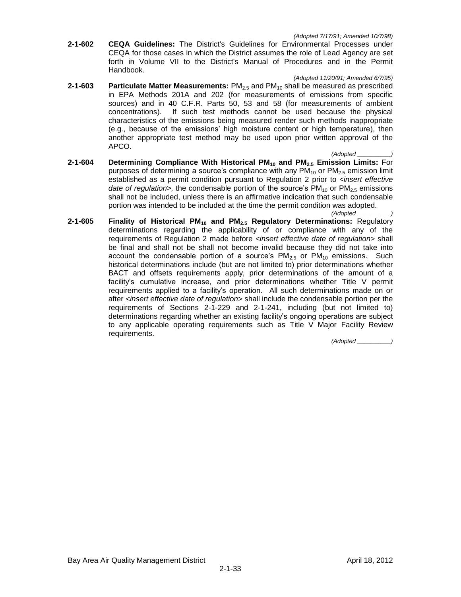**2-1-602 CEQA Guidelines:** The District's Guidelines for Environmental Processes under CEQA for those cases in which the District assumes the role of Lead Agency are set forth in Volume VII to the District's Manual of Procedures and in the Permit Handbook.

#### *(Adopted 11/20/91; Amended 6/7/95)*

- **2-1-603 Particulate Matter Measurements:** PM<sub>2.5</sub> and PM<sub>10</sub> shall be measured as prescribed in EPA Methods 201A and 202 (for measurements of emissions from specific sources) and in 40 C.F.R. Parts 50, 53 and 58 (for measurements of ambient concentrations). If such test methods cannot be used because the physical characteristics of the emissions being measured render such methods inappropriate (e.g., because of the emissions' high moisture content or high temperature), then another appropriate test method may be used upon prior written approval of the APCO.
- *(Adopted \_\_\_\_\_\_\_\_\_\_)* **2-1-604 Determining Compliance With Historical PM<sup>10</sup> and PM2.5 Emission Limits:** For purposes of determining a source's compliance with any  $PM_{10}$  or  $PM_{2.5}$  emission limit established as a permit condition pursuant to Regulation 2 prior to *<insert effective date of regulation>*, the condensable portion of the source's  $PM_{10}$  or  $PM_{2.5}$  emissions shall not be included, unless there is an affirmative indication that such condensable portion was intended to be included at the time the permit condition was adopted.

*(Adopted \_\_\_\_\_\_\_\_\_\_)*

**2-1-605 Finality of Historical PM<sup>10</sup> and PM2.5 Regulatory Determinations:** Regulatory determinations regarding the applicability of or compliance with any of the requirements of Regulation 2 made before *<insert effective date of regulation>* shall be final and shall not be shall not become invalid because they did not take into account the condensable portion of a source's  $PM_{2.5}$  or  $PM_{10}$  emissions. Such historical determinations include (but are not limited to) prior determinations whether BACT and offsets requirements apply, prior determinations of the amount of a facility's cumulative increase, and prior determinations whether Title V permit requirements applied to a facility's operation. All such determinations made on or after *<insert effective date of regulation>* shall include the condensable portion per the requirements of Sections 2-1-229 and 2-1-241, including (but not limited to) determinations regarding whether an existing facility's ongoing operations are subject to any applicable operating requirements such as Title V Major Facility Review requirements.

*(Adopted \_\_\_\_\_\_\_\_\_\_)*